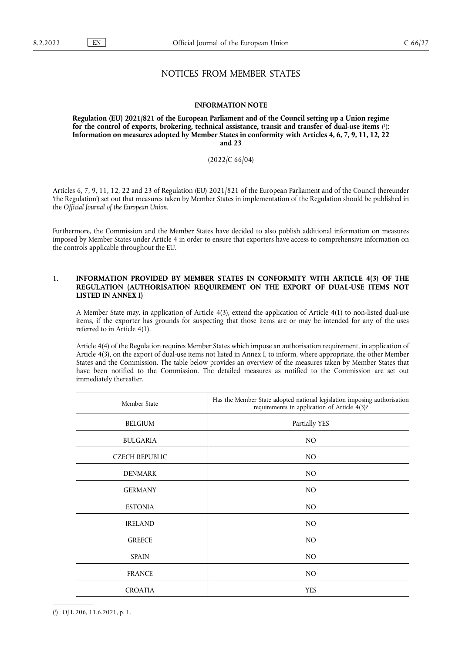# NOTICES FROM MEMBER STATES

#### **INFORMATION NOTE**

<span id="page-0-1"></span>**Regulation (EU) 2021/821 of the European Parliament and of the Council setting up a Union regime for the control of exports, brokering, technical assistance, transit and transfer of dual-use items** [\(](#page-0-0) 1 )**: Information on measures adopted by Member States in conformity with Articles 4, 6, 7, 9, 11, 12, 22 and 23** 

### (2022/C 66/04)

Articles 6, 7, 9, 11, 12, 22 and 23 of Regulation (EU) 2021/821 of the European Parliament and of the Council (hereunder 'the Regulation') set out that measures taken by Member States in implementation of the Regulation should be published in the *Official Journal of the European Union*.

Furthermore, the Commission and the Member States have decided to also publish additional information on measures imposed by Member States under Article 4 in order to ensure that exporters have access to comprehensive information on the controls applicable throughout the EU.

### 1. **INFORMATION PROVIDED BY MEMBER STATES IN CONFORMITY WITH ARTICLE 4(3) OF THE REGULATION (AUTHORISATION REQUIREMENT ON THE EXPORT OF DUAL-USE ITEMS NOT LISTED IN ANNEX I)**

A Member State may, in application of Article 4(3), extend the application of Article 4(1) to non-listed dual-use items, if the exporter has grounds for suspecting that those items are or may be intended for any of the uses referred to in Article 4(1).

Article 4(4) of the Regulation requires Member States which impose an authorisation requirement, in application of Article 4(3), on the export of dual-use items not listed in Annex I, to inform, where appropriate, the other Member States and the Commission. The table below provides an overview of the measures taken by Member States that have been notified to the Commission. The detailed measures as notified to the Commission are set out immediately thereafter.

| Member State          | Has the Member State adopted national legislation imposing authorisation<br>requirements in application of Article 4(3)? |
|-----------------------|--------------------------------------------------------------------------------------------------------------------------|
| <b>BELGIUM</b>        | Partially YES                                                                                                            |
| <b>BULGARIA</b>       | N <sub>O</sub>                                                                                                           |
| <b>CZECH REPUBLIC</b> | N <sub>O</sub>                                                                                                           |
| <b>DENMARK</b>        | N <sub>O</sub>                                                                                                           |
| <b>GERMANY</b>        | N <sub>O</sub>                                                                                                           |
| <b>ESTONIA</b>        | N <sub>O</sub>                                                                                                           |
| <b>IRELAND</b>        | N <sub>O</sub>                                                                                                           |
| <b>GREECE</b>         | N <sub>O</sub>                                                                                                           |
| <b>SPAIN</b>          | N <sub>O</sub>                                                                                                           |
| <b>FRANCE</b>         | NO.                                                                                                                      |
| <b>CROATIA</b>        | <b>YES</b>                                                                                                               |

<span id="page-0-0"></span>[<sup>\(</sup>](#page-0-1) 1 ) OJ L 206, 11.6.2021, p. 1.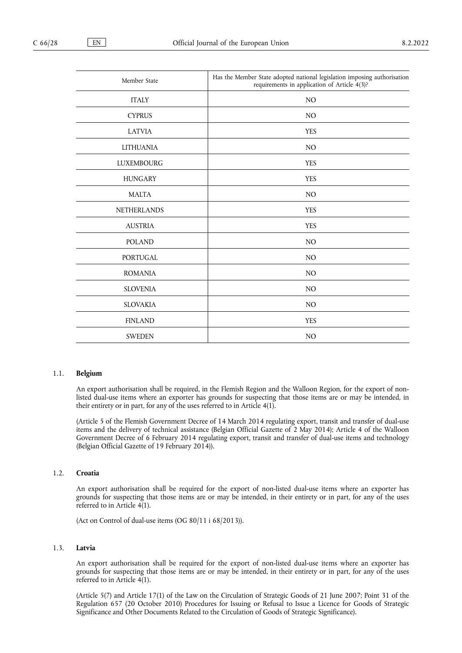| Member State       | Has the Member State adopted national legislation imposing authorisation<br>requirements in application of Article 4(3)? |
|--------------------|--------------------------------------------------------------------------------------------------------------------------|
| <b>ITALY</b>       | N <sub>O</sub>                                                                                                           |
| <b>CYPRUS</b>      | N <sub>O</sub>                                                                                                           |
| <b>LATVIA</b>      | <b>YES</b>                                                                                                               |
| <b>LITHUANIA</b>   | N <sub>O</sub>                                                                                                           |
| <b>LUXEMBOURG</b>  | <b>YES</b>                                                                                                               |
| <b>HUNGARY</b>     | <b>YES</b>                                                                                                               |
| <b>MALTA</b>       | N <sub>O</sub>                                                                                                           |
| <b>NETHERLANDS</b> | <b>YES</b>                                                                                                               |
| <b>AUSTRIA</b>     | <b>YES</b>                                                                                                               |
| <b>POLAND</b>      | N <sub>O</sub>                                                                                                           |
| <b>PORTUGAL</b>    | N <sub>O</sub>                                                                                                           |
| <b>ROMANIA</b>     | N <sub>O</sub>                                                                                                           |
| <b>SLOVENIA</b>    | N <sub>O</sub>                                                                                                           |
| <b>SLOVAKIA</b>    | N <sub>O</sub>                                                                                                           |
| <b>FINLAND</b>     | <b>YES</b>                                                                                                               |
| <b>SWEDEN</b>      | N <sub>O</sub>                                                                                                           |

#### 1.1. **Belgium**

An export authorisation shall be required, in the Flemish Region and the Walloon Region, for the export of nonlisted dual-use items where an exporter has grounds for suspecting that those items are or may be intended, in their entirety or in part, for any of the uses referred to in Article 4(1).

(Article 5 of the Flemish Government Decree of 14 March 2014 regulating export, transit and transfer of dual-use items and the delivery of technical assistance (Belgian Official Gazette of 2 May 2014); Article 4 of the Walloon Government Decree of 6 February 2014 regulating export, transit and transfer of dual-use items and technology (Belgian Official Gazette of 19 February 2014)).

## 1.2. **Croatia**

An export authorisation shall be required for the export of non-listed dual-use items where an exporter has grounds for suspecting that those items are or may be intended, in their entirety or in part, for any of the uses referred to in Article  $4(1)$ .

(Act on Control of dual-use items (OG 80/11 i 68/2013)).

### 1.3. **Latvia**

An export authorisation shall be required for the export of non-listed dual-use items where an exporter has grounds for suspecting that those items are or may be intended, in their entirety or in part, for any of the uses referred to in Article 4(1).

(Article 5(7) and Article 17(1) of the Law on the Circulation of Strategic Goods of 21 June 2007; Point 31 of the Regulation 657 (20 October 2010) Procedures for Issuing or Refusal to Issue a Licence for Goods of Strategic Significance and Other Documents Related to the Circulation of Goods of Strategic Significance).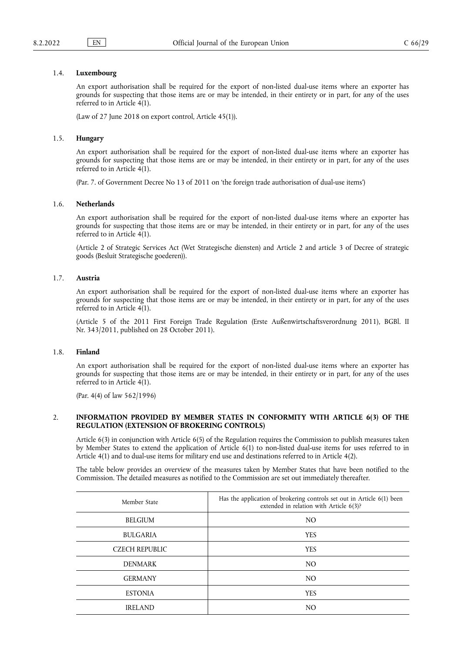#### 1.4. **Luxembourg**

An export authorisation shall be required for the export of non-listed dual-use items where an exporter has grounds for suspecting that those items are or may be intended, in their entirety or in part, for any of the uses referred to in Article 4(1).

(Law of 27 June 2018 on export control, Article 45(1)).

#### 1.5. **Hungary**

An export authorisation shall be required for the export of non-listed dual-use items where an exporter has grounds for suspecting that those items are or may be intended, in their entirety or in part, for any of the uses referred to in Article 4(1).

(Par. 7. of Government Decree No 13 of 2011 on 'the foreign trade authorisation of dual-use items')

#### 1.6. **Netherlands**

An export authorisation shall be required for the export of non-listed dual-use items where an exporter has grounds for suspecting that those items are or may be intended, in their entirety or in part, for any of the uses referred to in Article 4(1).

(Article 2 of Strategic Services Act (Wet Strategische diensten) and Article 2 and article 3 of Decree of strategic goods (Besluit Strategische goederen)).

### 1.7. **Austria**

An export authorisation shall be required for the export of non-listed dual-use items where an exporter has grounds for suspecting that those items are or may be intended, in their entirety or in part, for any of the uses referred to in Article 4(1).

(Article 5 of the 2011 First Foreign Trade Regulation (Erste Außenwirtschaftsverordnung 2011), BGBl. II Nr. 343/2011, published on 28 October 2011).

#### 1.8. **Finland**

An export authorisation shall be required for the export of non-listed dual-use items where an exporter has grounds for suspecting that those items are or may be intended, in their entirety or in part, for any of the uses referred to in Article 4(1).

(Par. 4(4) of law 562/1996)

### 2. **INFORMATION PROVIDED BY MEMBER STATES IN CONFORMITY WITH ARTICLE 6(3) OF THE REGULATION (EXTENSION OF BROKERING CONTROLS)**

Article 6(3) in conjunction with Article 6(5) of the Regulation requires the Commission to publish measures taken by Member States to extend the application of Article 6(1) to non-listed dual-use items for uses referred to in Article 4(1) and to dual-use items for military end use and destinations referred to in Article 4(2).

The table below provides an overview of the measures taken by Member States that have been notified to the Commission. The detailed measures as notified to the Commission are set out immediately thereafter.

| Member State          | Has the application of brokering controls set out in Article 6(1) been<br>extended in relation with Article 6(3)? |
|-----------------------|-------------------------------------------------------------------------------------------------------------------|
| <b>BELGIUM</b>        | N <sub>O</sub>                                                                                                    |
| <b>BULGARIA</b>       | <b>YES</b>                                                                                                        |
| <b>CZECH REPUBLIC</b> | <b>YES</b>                                                                                                        |
| <b>DENMARK</b>        | N <sub>O</sub>                                                                                                    |
| <b>GERMANY</b>        | N <sub>O</sub>                                                                                                    |
| <b>ESTONIA</b>        | <b>YES</b>                                                                                                        |
| <b>IRELAND</b>        | N <sub>O</sub>                                                                                                    |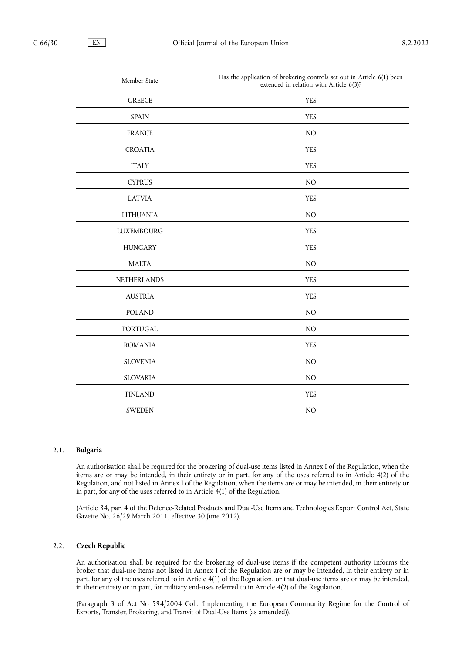| Member State      | Has the application of brokering controls set out in Article 6(1) been<br>extended in relation with Article 6(3)? |
|-------------------|-------------------------------------------------------------------------------------------------------------------|
| <b>GREECE</b>     | <b>YES</b>                                                                                                        |
| <b>SPAIN</b>      | <b>YES</b>                                                                                                        |
| <b>FRANCE</b>     | NO                                                                                                                |
| <b>CROATIA</b>    | <b>YES</b>                                                                                                        |
| <b>ITALY</b>      | <b>YES</b>                                                                                                        |
| <b>CYPRUS</b>     | $NO$                                                                                                              |
| <b>LATVIA</b>     | <b>YES</b>                                                                                                        |
| <b>LITHUANIA</b>  | NO                                                                                                                |
| <b>LUXEMBOURG</b> | <b>YES</b>                                                                                                        |
| <b>HUNGARY</b>    | <b>YES</b>                                                                                                        |
| <b>MALTA</b>      | NO                                                                                                                |
| NETHERLANDS       | <b>YES</b>                                                                                                        |
| <b>AUSTRIA</b>    | <b>YES</b>                                                                                                        |
| <b>POLAND</b>     | $NO$                                                                                                              |
| PORTUGAL          | $NO$                                                                                                              |
| <b>ROMANIA</b>    | <b>YES</b>                                                                                                        |
| <b>SLOVENIA</b>   | $NO$                                                                                                              |
| <b>SLOVAKIA</b>   | $NO$                                                                                                              |
| <b>FINLAND</b>    | <b>YES</b>                                                                                                        |
| <b>SWEDEN</b>     | NO                                                                                                                |

#### 2.1. **Bulgaria**

An authorisation shall be required for the brokering of dual-use items listed in Annex I of the Regulation, when the items are or may be intended, in their entirety or in part, for any of the uses referred to in Article 4(2) of the Regulation, and not listed in Annex I of the Regulation, when the items are or may be intended, in their entirety or in part, for any of the uses referred to in Article 4(1) of the Regulation.

(Article 34, par. 4 of the Defence-Related Products and Dual-Use Items and Technologies Export Control Act, State Gazette No. 26/29 March 2011, effective 30 June 2012).

### 2.2. **Czech Republic**

An authorisation shall be required for the brokering of dual-use items if the competent authority informs the broker that dual-use items not listed in Annex I of the Regulation are or may be intended, in their entirety or in part, for any of the uses referred to in Article 4(1) of the Regulation, or that dual-use items are or may be intended, in their entirety or in part, for military end-uses referred to in Article 4(2) of the Regulation.

(Paragraph 3 of Act No 594/2004 Coll. 'Implementing the European Community Regime for the Control of Exports, Transfer, Brokering, and Transit of Dual-Use Items (as amended)).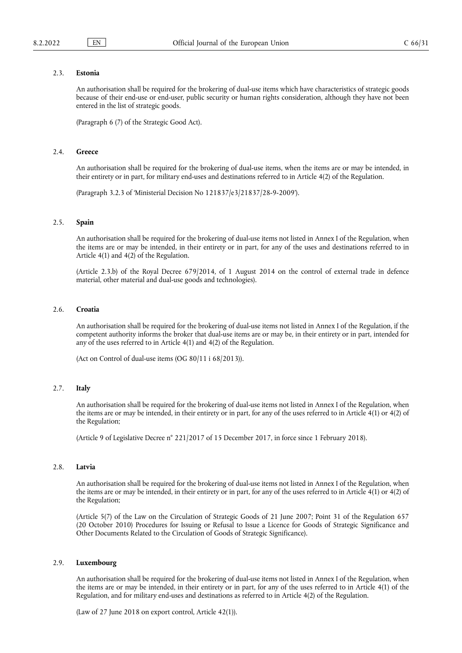### 2.3. **Estonia**

An authorisation shall be required for the brokering of dual-use items which have characteristics of strategic goods because of their end-use or end-user, public security or human rights consideration, although they have not been entered in the list of strategic goods.

(Paragraph 6 (7) of the Strategic Good Act).

#### 2.4. **Greece**

An authorisation shall be required for the brokering of dual-use items, when the items are or may be intended, in their entirety or in part, for military end-uses and destinations referred to in Article 4(2) of the Regulation.

(Paragraph 3.2.3 of 'Ministerial Decision No 121837/e3/21837/28-9-2009').

### 2.5. **Spain**

An authorisation shall be required for the brokering of dual-use items not listed in Annex I of the Regulation, when the items are or may be intended, in their entirety or in part, for any of the uses and destinations referred to in Article 4(1) and 4(2) of the Regulation.

(Article 2.3.b) of the Royal Decree 679/2014, of 1 August 2014 on the control of external trade in defence material, other material and dual-use goods and technologies).

## 2.6. **Croatia**

An authorisation shall be required for the brokering of dual-use items not listed in Annex I of the Regulation, if the competent authority informs the broker that dual-use items are or may be, in their entirety or in part, intended for any of the uses referred to in Article 4(1) and 4(2) of the Regulation.

(Act on Control of dual-use items (OG 80/11 i 68/2013)).

## 2.7. **Italy**

An authorisation shall be required for the brokering of dual-use items not listed in Annex I of the Regulation, when the items are or may be intended, in their entirety or in part, for any of the uses referred to in Article 4(1) or 4(2) of the Regulation;

(Article 9 of Legislative Decree n° 221/2017 of 15 December 2017, in force since 1 February 2018).

#### 2.8. **Latvia**

An authorisation shall be required for the brokering of dual-use items not listed in Annex I of the Regulation, when the items are or may be intended, in their entirety or in part, for any of the uses referred to in Article 4(1) or 4(2) of the Regulation;

(Article 5(7) of the Law on the Circulation of Strategic Goods of 21 June 2007; Point 31 of the Regulation 657 (20 October 2010) Procedures for Issuing or Refusal to Issue a Licence for Goods of Strategic Significance and Other Documents Related to the Circulation of Goods of Strategic Significance).

#### 2.9. **Luxembourg**

An authorisation shall be required for the brokering of dual-use items not listed in Annex I of the Regulation, when the items are or may be intended, in their entirety or in part, for any of the uses referred to in Article 4(1) of the Regulation, and for military end-uses and destinations as referred to in Article 4(2) of the Regulation.

(Law of 27 June 2018 on export control, Article 42(1)).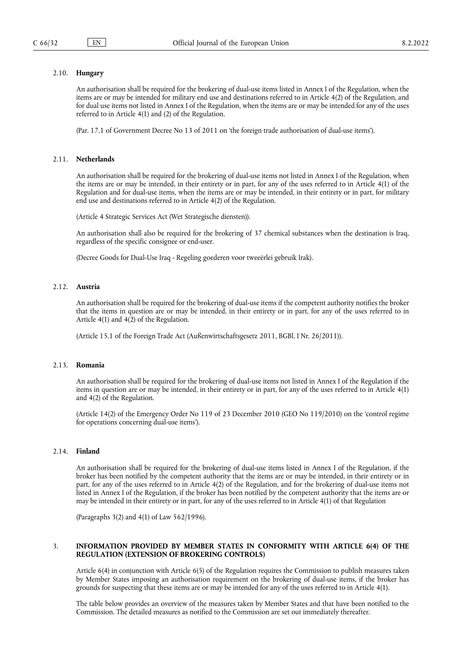## 2.10. **Hungary**

An authorisation shall be required for the brokering of dual-use items listed in Annex I of the Regulation, when the items are or may be intended for military end use and destinations referred to in Article 4(2) of the Regulation, and for dual use items not listed in Annex I of the Regulation, when the items are or may be intended for any of the uses referred to in Article 4(1) and (2) of the Regulation.

(Par. 17.1 of Government Decree No 13 of 2011 on 'the foreign trade authorisation of dual-use items').

### 2.11. **Netherlands**

An authorisation shall be required for the brokering of dual-use items not listed in Annex I of the Regulation, when the items are or may be intended, in their entirety or in part, for any of the uses referred to in Article 4(1) of the Regulation and for dual-use items, when the items are or may be intended, in their entirety or in part, for military end use and destinations referred to in Article 4(2) of the Regulation.

(Article 4 Strategic Services Act (Wet Strategische diensten)).

An authorisation shall also be required for the brokering of 37 chemical substances when the destination is Iraq, regardless of the specific consignee or end-user.

(Decree Goods for Dual-Use Iraq - Regeling goederen voor tweeërlei gebruik Irak).

## 2.12. **Austria**

An authorisation shall be required for the brokering of dual-use items if the competent authority notifies the broker that the items in question are or may be intended, in their entirety or in part, for any of the uses referred to in Article 4(1) and 4(2) of the Regulation.

(Article 15.1 of the Foreign Trade Act (Außenwirtschaftsgesetz 2011, BGBl. I Nr. 26/2011)).

#### 2.13. **Romania**

An authorisation shall be required for the brokering of dual-use items not listed in Annex I of the Regulation if the items in question are or may be intended, in their entirety or in part, for any of the uses referred to in Article 4(1) and 4(2) of the Regulation.

(Article 14(2) of the Emergency Order No 119 of 23 December 2010 (GEO No 119/2010) on the 'control regime for operations concerning dual-use items').

### 2.14. **Finland**

An authorisation shall be required for the brokering of dual-use items listed in Annex I of the Regulation, if the broker has been notified by the competent authority that the items are or may be intended, in their entirety or in part, for any of the uses referred to in Article 4(2) of the Regulation, and for the brokering of dual-use items not listed in Annex I of the Regulation, if the broker has been notified by the competent authority that the items are or may be intended in their entirety or in part, for any of the uses referred to in Article 4(1) of that Regulation

(Paragraphs 3(2) and 4(1) of Law 562/1996).

### 3. **INFORMATION PROVIDED BY MEMBER STATES IN CONFORMITY WITH ARTICLE 6(4) OF THE REGULATION (EXTENSION OF BROKERING CONTROLS)**

Article 6(4) in conjunction with Article 6(5) of the Regulation requires the Commission to publish measures taken by Member States imposing an authorisation requirement on the brokering of dual-use items, if the broker has grounds for suspecting that these items are or may be intended for any of the uses referred to in Article 4(1).

The table below provides an overview of the measures taken by Member States and that have been notified to the Commission. The detailed measures as notified to the Commission are set out immediately thereafter.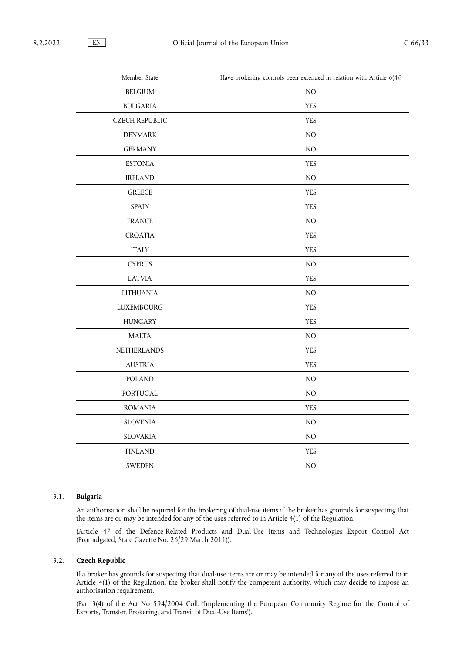Τ

| Member State          | Have brokering controls been extended in relation with Article $6(4)$ ? |
|-----------------------|-------------------------------------------------------------------------|
| <b>BELGIUM</b>        | NO                                                                      |
| <b>BULGARIA</b>       | <b>YES</b>                                                              |
| <b>CZECH REPUBLIC</b> | <b>YES</b>                                                              |
| <b>DENMARK</b>        | $\rm NO$                                                                |
| <b>GERMANY</b>        | $\rm NO$                                                                |
| <b>ESTONIA</b>        | <b>YES</b>                                                              |
| <b>IRELAND</b>        | $NO$                                                                    |
| <b>GREECE</b>         | <b>YES</b>                                                              |
| <b>SPAIN</b>          | <b>YES</b>                                                              |
| <b>FRANCE</b>         | $\rm NO$                                                                |
| <b>CROATIA</b>        | <b>YES</b>                                                              |
| <b>ITALY</b>          | <b>YES</b>                                                              |
| <b>CYPRUS</b>         | $\rm NO$                                                                |
| <b>LATVIA</b>         | <b>YES</b>                                                              |
| <b>LITHUANIA</b>      | $NO$                                                                    |
| <b>LUXEMBOURG</b>     | <b>YES</b>                                                              |
| <b>HUNGARY</b>        | <b>YES</b>                                                              |
| <b>MALTA</b>          | $\rm NO$                                                                |
| <b>NETHERLANDS</b>    | <b>YES</b>                                                              |
| <b>AUSTRIA</b>        | <b>YES</b>                                                              |
| <b>POLAND</b>         | NO                                                                      |
| <b>PORTUGAL</b>       | $\rm NO$                                                                |
| <b>ROMANIA</b>        | <b>YES</b>                                                              |
| <b>SLOVENIA</b>       | $\rm NO$                                                                |
| <b>SLOVAKIA</b>       | $\rm NO$                                                                |
| <b>FINLAND</b>        | <b>YES</b>                                                              |
| <b>SWEDEN</b>         | NO                                                                      |

## 3.1. **Bulgaria**

An authorisation shall be required for the brokering of dual-use items if the broker has grounds for suspecting that the items are or may be intended for any of the uses referred to in Article 4(1) of the Regulation.

(Article 47 of the Defence-Related Products and Dual-Use Items and Technologies Export Control Act (Promulgated, State Gazette No. 26/29 March 2011)).

### 3.2. **Czech Republic**

If a broker has grounds for suspecting that dual-use items are or may be intended for any of the uses referred to in Article 4(1) of the Regulation, the broker shall notify the competent authority, which may decide to impose an authorisation requirement.

(Par. 3(4) of the Act No 594/2004 Coll. 'Implementing the European Community Regime for the Control of Exports, Transfer, Brokering, and Transit of Dual-Use Items').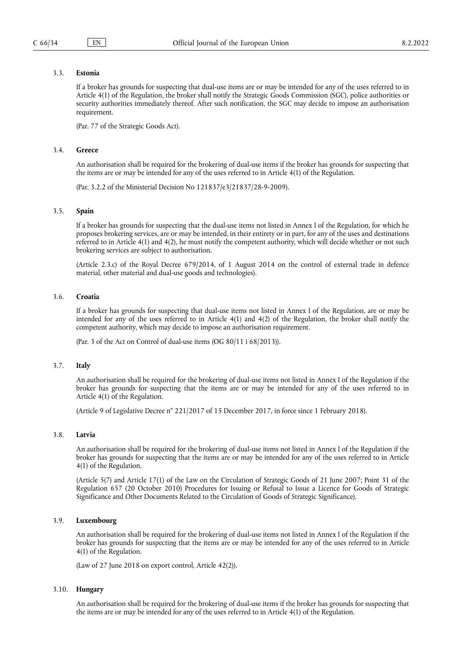## 3.3. **Estonia**

If a broker has grounds for suspecting that dual-use items are or may be intended for any of the uses referred to in Article 4(1) of the Regulation, the broker shall notify the Strategic Goods Commission (SGC), police authorities or security authorities immediately thereof. After such notification, the SGC may decide to impose an authorisation requirement.

(Par. 77 of the Strategic Goods Act).

#### 3.4. **Greece**

An authorisation shall be required for the brokering of dual-use items if the broker has grounds for suspecting that the items are or may be intended for any of the uses referred to in Article 4(1) of the Regulation.

(Par. 3.2.2 of the Ministerial Decision No 121837/e3/21837/28-9-2009).

### 3.5. **Spain**

If a broker has grounds for suspecting that the dual-use items not listed in Annex I of the Regulation, for which he proposes brokering services, are or may be intended, in their entirety or in part, for any of the uses and destinations referred to in Article 4(1) and 4(2), he must notify the competent authority, which will decide whether or not such brokering services are subject to authorisation.

(Article 2.3.c) of the Royal Decree 679/2014, of 1 August 2014 on the control of external trade in defence material, other material and dual-use goods and technologies).

#### 3.6. **Croatia**

If a broker has grounds for suspecting that dual-use items not listed in Annex I of the Regulation, are or may be intended for any of the uses referred to in Article 4(1) and 4(2) of the Regulation, the broker shall notify the competent authority, which may decide to impose an authorisation requirement.

(Par. 3 of the Act on Control of dual-use items (OG 80/11 i 68/2013)).

#### 3.7. **Italy**

An authorisation shall be required for the brokering of dual-use items not listed in Annex I of the Regulation if the broker has grounds for suspecting that the items are or may be intended for any of the uses referred to in Article 4(1) of the Regulation.

(Article 9 of Legislative Decree n° 221/2017 of 15 December 2017, in force since 1 February 2018).

#### 3.8. **Latvia**

An authorisation shall be required for the brokering of dual-use items not listed in Annex I of the Regulation if the broker has grounds for suspecting that the items are or may be intended for any of the uses referred to in Article 4(1) of the Regulation.

(Article 5(7) and Article 17(1) of the Law on the Circulation of Strategic Goods of 21 June 2007; Point 31 of the Regulation 657 (20 October 2010) Procedures for Issuing or Refusal to Issue a Licence for Goods of Strategic Significance and Other Documents Related to the Circulation of Goods of Strategic Significance).

### 3.9. **Luxembourg**

An authorisation shall be required for the brokering of dual-use items not listed in Annex I of the Regulation if the broker has grounds for suspecting that the items are or may be intended for any of the uses referred to in Article 4(1) of the Regulation.

(Law of 27 June 2018 on export control, Article 42(2)).

### 3.10. **Hungary**

An authorisation shall be required for the brokering of dual-use items if the broker has grounds for suspecting that the items are or may be intended for any of the uses referred to in Article 4(1) of the Regulation.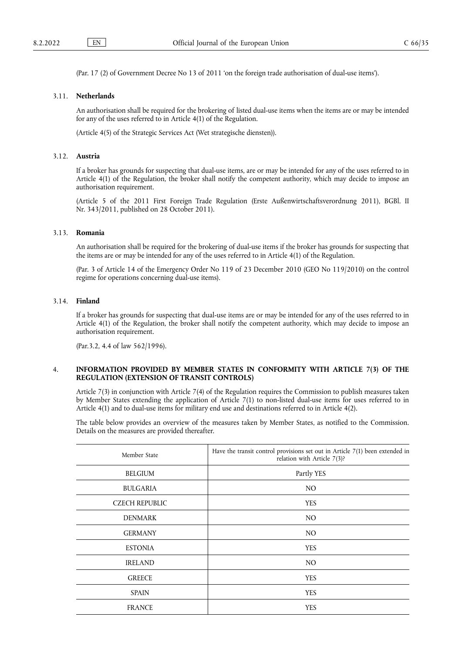(Par. 17 (2) of Government Decree No 13 of 2011 'on the foreign trade authorisation of dual-use items').

### 3.11. **Netherlands**

An authorisation shall be required for the brokering of listed dual-use items when the items are or may be intended for any of the uses referred to in Article 4(1) of the Regulation.

(Article 4(5) of the Strategic Services Act (Wet strategische diensten)).

### 3.12. **Austria**

If a broker has grounds for suspecting that dual-use items, are or may be intended for any of the uses referred to in Article 4(1) of the Regulation, the broker shall notify the competent authority, which may decide to impose an authorisation requirement.

(Article 5 of the 2011 First Foreign Trade Regulation (Erste Außenwirtschaftsverordnung 2011), BGBl. II Nr. 343/2011, published on 28 October 2011).

### 3.13. **Romania**

An authorisation shall be required for the brokering of dual-use items if the broker has grounds for suspecting that the items are or may be intended for any of the uses referred to in Article 4(1) of the Regulation.

(Par. 3 of Article 14 of the Emergency Order No 119 of 23 December 2010 (GEO No 119/2010) on the control regime for operations concerning dual-use items).

### 3.14. **Finland**

If a broker has grounds for suspecting that dual-use items are or may be intended for any of the uses referred to in Article 4(1) of the Regulation, the broker shall notify the competent authority, which may decide to impose an authorisation requirement.

(Par.3.2, 4.4 of law 562/1996).

## 4. **INFORMATION PROVIDED BY MEMBER STATES IN CONFORMITY WITH ARTICLE 7(3) OF THE REGULATION (EXTENSION OF TRANSIT CONTROLS)**

Article 7(3) in conjunction with Article 7(4) of the Regulation requires the Commission to publish measures taken by Member States extending the application of Article 7(1) to non-listed dual-use items for uses referred to in Article 4(1) and to dual-use items for military end use and destinations referred to in Article 4(2).

The table below provides an overview of the measures taken by Member States, as notified to the Commission. Details on the measures are provided thereafter.

| Member State          | Have the transit control provisions set out in Article $7(1)$ been extended in<br>relation with Article 7(3)? |
|-----------------------|---------------------------------------------------------------------------------------------------------------|
| <b>BELGIUM</b>        | Partly YES                                                                                                    |
| <b>BULGARIA</b>       | N <sub>O</sub>                                                                                                |
| <b>CZECH REPUBLIC</b> | <b>YES</b>                                                                                                    |
| <b>DENMARK</b>        | N <sub>O</sub>                                                                                                |
| <b>GERMANY</b>        | N <sub>O</sub>                                                                                                |
| <b>ESTONIA</b>        | <b>YES</b>                                                                                                    |
| <b>IRELAND</b>        | N <sub>O</sub>                                                                                                |
| <b>GREECE</b>         | <b>YES</b>                                                                                                    |
| <b>SPAIN</b>          | <b>YES</b>                                                                                                    |
| <b>FRANCE</b>         | <b>YES</b>                                                                                                    |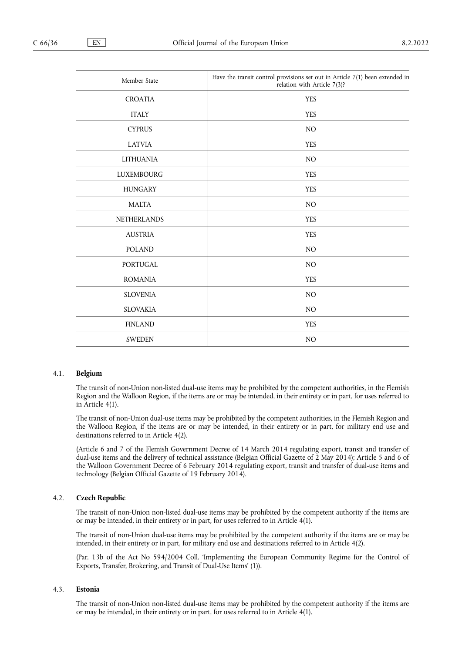| Member State       | Have the transit control provisions set out in Article 7(1) been extended in<br>relation with Article 7(3)? |
|--------------------|-------------------------------------------------------------------------------------------------------------|
| <b>CROATIA</b>     | <b>YES</b>                                                                                                  |
| <b>ITALY</b>       | <b>YES</b>                                                                                                  |
| <b>CYPRUS</b>      | NO                                                                                                          |
| <b>LATVIA</b>      | <b>YES</b>                                                                                                  |
| <b>LITHUANIA</b>   | NO                                                                                                          |
| <b>LUXEMBOURG</b>  | <b>YES</b>                                                                                                  |
| <b>HUNGARY</b>     | <b>YES</b>                                                                                                  |
| <b>MALTA</b>       | N <sub>O</sub>                                                                                              |
| <b>NETHERLANDS</b> | <b>YES</b>                                                                                                  |
| <b>AUSTRIA</b>     | <b>YES</b>                                                                                                  |
| <b>POLAND</b>      | NO                                                                                                          |
| <b>PORTUGAL</b>    | NO                                                                                                          |
| <b>ROMANIA</b>     | <b>YES</b>                                                                                                  |
| <b>SLOVENIA</b>    | N <sub>O</sub>                                                                                              |
| <b>SLOVAKIA</b>    | N <sub>O</sub>                                                                                              |
| <b>FINLAND</b>     | <b>YES</b>                                                                                                  |
| <b>SWEDEN</b>      | NO                                                                                                          |

## 4.1. **Belgium**

The transit of non-Union non-listed dual-use items may be prohibited by the competent authorities, in the Flemish Region and the Walloon Region, if the items are or may be intended, in their entirety or in part, for uses referred to in Article 4(1).

The transit of non-Union dual-use items may be prohibited by the competent authorities, in the Flemish Region and the Walloon Region, if the items are or may be intended, in their entirety or in part, for military end use and destinations referred to in Article 4(2).

(Article 6 and 7 of the Flemish Government Decree of 14 March 2014 regulating export, transit and transfer of dual-use items and the delivery of technical assistance (Belgian Official Gazette of 2 May 2014); Article 5 and 6 of the Walloon Government Decree of 6 February 2014 regulating export, transit and transfer of dual-use items and technology (Belgian Official Gazette of 19 February 2014).

### 4.2. **Czech Republic**

The transit of non-Union non-listed dual-use items may be prohibited by the competent authority if the items are or may be intended, in their entirety or in part, for uses referred to in Article 4(1).

The transit of non-Union dual-use items may be prohibited by the competent authority if the items are or may be intended, in their entirety or in part, for military end use and destinations referred to in Article 4(2).

(Par. 13b of the Act No 594/2004 Coll. 'Implementing the European Community Regime for the Control of Exports, Transfer, Brokering, and Transit of Dual-Use Items' (1)).

#### 4.3. **Estonia**

The transit of non-Union non-listed dual-use items may be prohibited by the competent authority if the items are or may be intended, in their entirety or in part, for uses referred to in Article 4(1).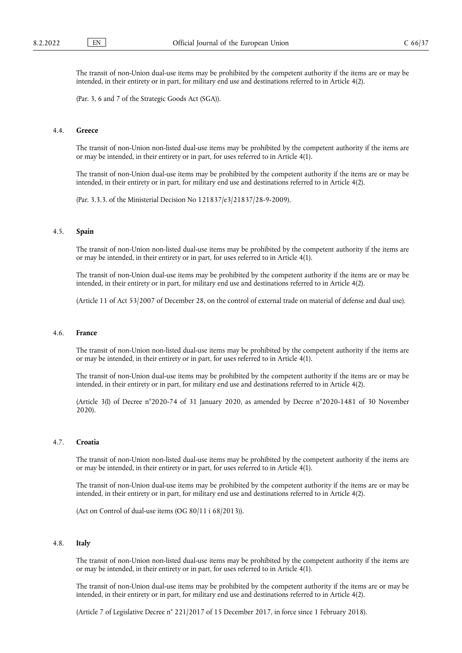The transit of non-Union dual-use items may be prohibited by the competent authority if the items are or may be intended, in their entirety or in part, for military end use and destinations referred to in Article 4(2).

(Par. 3, 6 and 7 of the Strategic Goods Act (SGA)).

### 4.4. **Greece**

The transit of non-Union non-listed dual-use items may be prohibited by the competent authority if the items are or may be intended, in their entirety or in part, for uses referred to in Article 4(1).

The transit of non-Union dual-use items may be prohibited by the competent authority if the items are or may be intended, in their entirety or in part, for military end use and destinations referred to in Article 4(2).

(Par. 3.3.3. of the Ministerial Decision No 121837/e3/21837/28-9-2009).

### 4.5. **Spain**

The transit of non-Union non-listed dual-use items may be prohibited by the competent authority if the items are or may be intended, in their entirety or in part, for uses referred to in Article 4(1).

The transit of non-Union dual-use items may be prohibited by the competent authority if the items are or may be intended, in their entirety or in part, for military end use and destinations referred to in Article 4(2).

(Article 11 of Act 53/2007 of December 28, on the control of external trade on material of defense and dual use).

#### 4.6. **France**

The transit of non-Union non-listed dual-use items may be prohibited by the competent authority if the items are or may be intended, in their entirety or in part, for uses referred to in Article 4(1).

The transit of non-Union dual-use items may be prohibited by the competent authority if the items are or may be intended, in their entirety or in part, for military end use and destinations referred to in Article 4(2).

(Article 3(I) of Decree n°2020-74 of 31 January 2020, as amended by Decree n°2020-1481 of 30 November 2020).

#### 4.7. **Croatia**

The transit of non-Union non-listed dual-use items may be prohibited by the competent authority if the items are or may be intended, in their entirety or in part, for uses referred to in Article 4(1).

The transit of non-Union dual-use items may be prohibited by the competent authority if the items are or may be intended, in their entirety or in part, for military end use and destinations referred to in Article 4(2).

(Act on Control of dual-use items (OG 80/11 i 68/2013)).

#### 4.8. **Italy**

The transit of non-Union non-listed dual-use items may be prohibited by the competent authority if the items are or may be intended, in their entirety or in part, for uses referred to in Article 4(1).

The transit of non-Union dual-use items may be prohibited by the competent authority if the items are or may be intended, in their entirety or in part, for military end use and destinations referred to in Article 4(2).

(Article 7 of Legislative Decree n° 221/2017 of 15 December 2017, in force since 1 February 2018).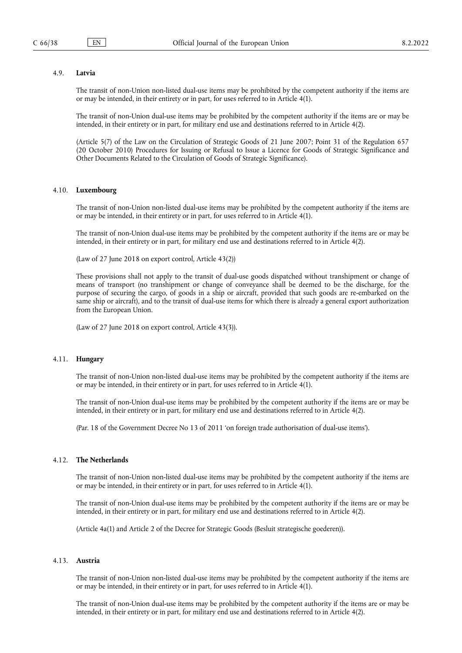#### 4.9. **Latvia**

The transit of non-Union non-listed dual-use items may be prohibited by the competent authority if the items are or may be intended, in their entirety or in part, for uses referred to in Article 4(1).

The transit of non-Union dual-use items may be prohibited by the competent authority if the items are or may be intended, in their entirety or in part, for military end use and destinations referred to in Article 4(2).

(Article 5(7) of the Law on the Circulation of Strategic Goods of 21 June 2007; Point 31 of the Regulation 657 (20 October 2010) Procedures for Issuing or Refusal to Issue a Licence for Goods of Strategic Significance and Other Documents Related to the Circulation of Goods of Strategic Significance).

## 4.10. **Luxembourg**

The transit of non-Union non-listed dual-use items may be prohibited by the competent authority if the items are or may be intended, in their entirety or in part, for uses referred to in Article 4(1).

The transit of non-Union dual-use items may be prohibited by the competent authority if the items are or may be intended, in their entirety or in part, for military end use and destinations referred to in Article 4(2).

(Law of 27 June 2018 on export control, Article 43(2))

These provisions shall not apply to the transit of dual-use goods dispatched without transhipment or change of means of transport (no transhipment or change of conveyance shall be deemed to be the discharge, for the purpose of securing the cargo, of goods in a ship or aircraft, provided that such goods are re-embarked on the same ship or aircraft), and to the transit of dual-use items for which there is already a general export authorization from the European Union.

(Law of 27 June 2018 on export control, Article 43(3)).

### 4.11. **Hungary**

The transit of non-Union non-listed dual-use items may be prohibited by the competent authority if the items are or may be intended, in their entirety or in part, for uses referred to in Article 4(1).

The transit of non-Union dual-use items may be prohibited by the competent authority if the items are or may be intended, in their entirety or in part, for military end use and destinations referred to in Article 4(2).

(Par. 18 of the Government Decree No 13 of 2011 'on foreign trade authorisation of dual-use items').

#### 4.12. **The Netherlands**

The transit of non-Union non-listed dual-use items may be prohibited by the competent authority if the items are or may be intended, in their entirety or in part, for uses referred to in Article 4(1).

The transit of non-Union dual-use items may be prohibited by the competent authority if the items are or may be intended, in their entirety or in part, for military end use and destinations referred to in Article 4(2).

(Article 4a(1) and Article 2 of the Decree for Strategic Goods (Besluit strategische goederen)).

#### 4.13. **Austria**

The transit of non-Union non-listed dual-use items may be prohibited by the competent authority if the items are or may be intended, in their entirety or in part, for uses referred to in Article 4(1).

The transit of non-Union dual-use items may be prohibited by the competent authority if the items are or may be intended, in their entirety or in part, for military end use and destinations referred to in Article 4(2).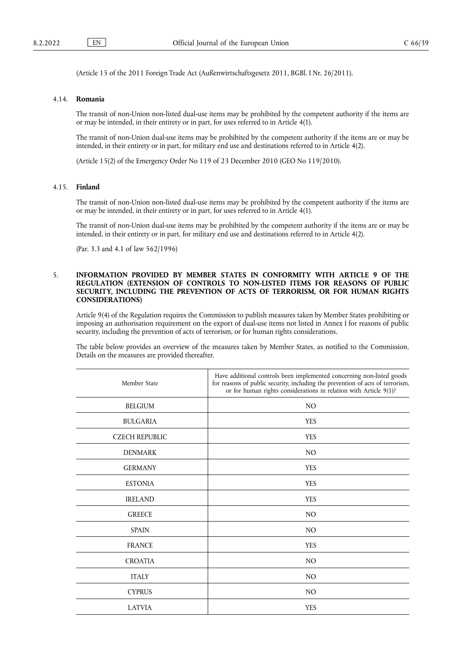(Article 15 of the 2011 Foreign Trade Act (Außenwirtschaftsgesetz 2011, BGBl. I Nr. 26/2011).

## 4.14. **Romania**

The transit of non-Union non-listed dual-use items may be prohibited by the competent authority if the items are or may be intended, in their entirety or in part, for uses referred to in Article 4(1).

The transit of non-Union dual-use items may be prohibited by the competent authority if the items are or may be intended, in their entirety or in part, for military end use and destinations referred to in Article 4(2).

(Article 15(2) of the Emergency Order No 119 of 23 December 2010 (GEO No 119/2010).

## 4.15. **Finland**

The transit of non-Union non-listed dual-use items may be prohibited by the competent authority if the items are or may be intended, in their entirety or in part, for uses referred to in Article 4(1).

The transit of non-Union dual-use items may be prohibited by the competent authority if the items are or may be intended, in their entirety or in part, for military end use and destinations referred to in Article 4(2).

(Par. 3.3 and 4.1 of law 562/1996)

## 5. **INFORMATION PROVIDED BY MEMBER STATES IN CONFORMITY WITH ARTICLE 9 OF THE REGULATION (EXTENSION OF CONTROLS TO NON-LISTED ITEMS FOR REASONS OF PUBLIC SECURITY, INCLUDING THE PREVENTION OF ACTS OF TERRORISM, OR FOR HUMAN RIGHTS CONSIDERATIONS)**

Article 9(4) of the Regulation requires the Commission to publish measures taken by Member States prohibiting or imposing an authorisation requirement on the export of dual-use items not listed in Annex I for reasons of public security, including the prevention of acts of terrorism, or for human rights considerations.

The table below provides an overview of the measures taken by Member States, as notified to the Commission. Details on the measures are provided thereafter.

| Member State          | Have additional controls been implemented concerning non-listed goods<br>for reasons of public security, including the prevention of acts of terrorism,<br>or for human rights considerations in relation with Article 9(1)? |
|-----------------------|------------------------------------------------------------------------------------------------------------------------------------------------------------------------------------------------------------------------------|
| <b>BELGIUM</b>        | NO                                                                                                                                                                                                                           |
| <b>BULGARIA</b>       | <b>YES</b>                                                                                                                                                                                                                   |
| <b>CZECH REPUBLIC</b> | <b>YES</b>                                                                                                                                                                                                                   |
| <b>DENMARK</b>        | N <sub>O</sub>                                                                                                                                                                                                               |
| <b>GERMANY</b>        | <b>YES</b>                                                                                                                                                                                                                   |
| <b>ESTONIA</b>        | <b>YES</b>                                                                                                                                                                                                                   |
| <b>IRELAND</b>        | <b>YES</b>                                                                                                                                                                                                                   |
| <b>GREECE</b>         | N <sub>O</sub>                                                                                                                                                                                                               |
| <b>SPAIN</b>          | N <sub>O</sub>                                                                                                                                                                                                               |
| <b>FRANCE</b>         | <b>YES</b>                                                                                                                                                                                                                   |
| <b>CROATIA</b>        | N <sub>O</sub>                                                                                                                                                                                                               |
| <b>ITALY</b>          | N <sub>O</sub>                                                                                                                                                                                                               |
| <b>CYPRUS</b>         | N <sub>O</sub>                                                                                                                                                                                                               |
| <b>LATVIA</b>         | <b>YES</b>                                                                                                                                                                                                                   |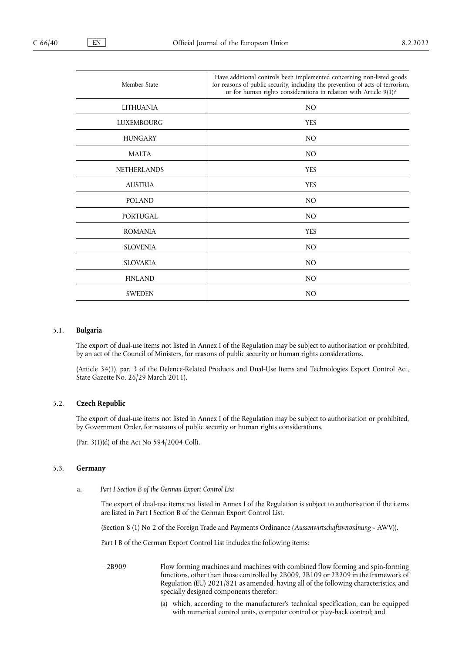| Member State       | Have additional controls been implemented concerning non-listed goods<br>for reasons of public security, including the prevention of acts of terrorism,<br>or for human rights considerations in relation with Article 9(1)? |
|--------------------|------------------------------------------------------------------------------------------------------------------------------------------------------------------------------------------------------------------------------|
| <b>LITHUANIA</b>   | NO.                                                                                                                                                                                                                          |
| <b>LUXEMBOURG</b>  | <b>YES</b>                                                                                                                                                                                                                   |
| <b>HUNGARY</b>     | NO.                                                                                                                                                                                                                          |
| <b>MALTA</b>       | NO.                                                                                                                                                                                                                          |
| <b>NETHERLANDS</b> | <b>YES</b>                                                                                                                                                                                                                   |
| <b>AUSTRIA</b>     | <b>YES</b>                                                                                                                                                                                                                   |
| <b>POLAND</b>      | NO.                                                                                                                                                                                                                          |
| PORTUGAL           | NO.                                                                                                                                                                                                                          |
| <b>ROMANIA</b>     | <b>YES</b>                                                                                                                                                                                                                   |
| <b>SLOVENIA</b>    | NO.                                                                                                                                                                                                                          |
| <b>SLOVAKIA</b>    | NO.                                                                                                                                                                                                                          |
| <b>FINLAND</b>     | NO.                                                                                                                                                                                                                          |
| <b>SWEDEN</b>      | N <sub>O</sub>                                                                                                                                                                                                               |

#### 5.1. **Bulgaria**

The export of dual-use items not listed in Annex I of the Regulation may be subject to authorisation or prohibited, by an act of the Council of Ministers, for reasons of public security or human rights considerations.

(Article 34(1), рar. 3 of the Defence-Related Products and Dual-Use Items and Technologies Export Control Act, State Gazette No. 26/29 March 2011).

### 5.2. **Czech Republic**

The export of dual-use items not listed in Annex I of the Regulation may be subject to authorisation or prohibited, by Government Order, for reasons of public security or human rights considerations.

(Par. 3(1)(d) of the Act No 594/2004 Coll).

#### 5.3. **Germany**

a. *Part I Section B of the German Export Control List*

The export of dual-use items not listed in Annex I of the Regulation is subject to authorisation if the items are listed in Part I Section B of the German Export Control List.

(Section 8 (1) No 2 of the Foreign Trade and Payments Ordinance *(Aussenwirtschaftsverordnung -* AWV)).

Part I B of the German Export Control List includes the following items:

- 2B909 Flow forming machines and machines with combined flow forming and spin-forming functions, other than those controlled by 2B009, 2B109 or 2B209 in the framework of Regulation (EU) 2021/821 as amended, having all of the following characteristics, and specially designed components therefor:
	- (a) which, according to the manufacturer's technical specification, can be equipped with numerical control units, computer control or play-back control; and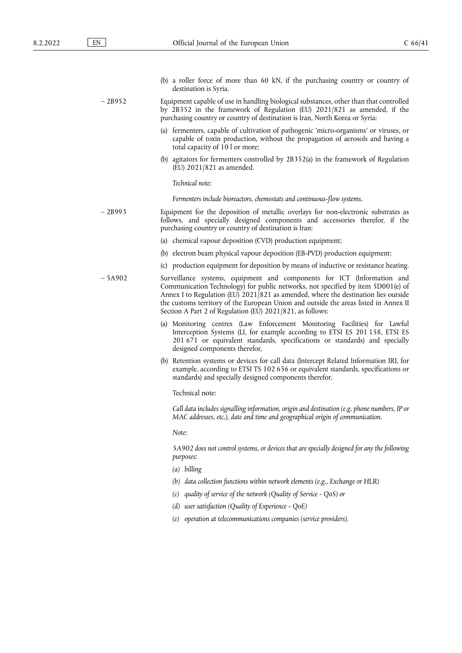| (b) a roller force of more than 60 kN, if the purchasing country or country of |  |  |  |  |  |
|--------------------------------------------------------------------------------|--|--|--|--|--|
| destination is Syria.                                                          |  |  |  |  |  |

– 2B952 Equipment capable of use in handling biological substances, other than that controlled by 2B352 in the framework of Regulation (EU) 2021/821 as amended, if the purchasing country or country of destination is Iran, North Korea or Syria:

- (a) fermenters, capable of cultivation of pathogenic 'micro-organisms' or viruses, or capable of toxin production, without the propagation of aerosols and having a total capacity of 10 l or more;
- (b) agitators for fermenters controlled by 2B352(a) in the framework of Regulation (EU) 2021/821 as amended.

### *Technical note:*

*Fermenters include bioreactors, chemostats and continuous-flow systems.*

– 2B993 Equipment for the deposition of metallic overlays for non-electronic substrates as follows, and specially designed components and accessories therefor, if the purchasing country or country of destination is Iran:

- (a) chemical vapour deposition (CVD) production equipment;
- (b) electron beam physical vapour deposition (EB-PVD) production equipment;
- (c) production equipment for deposition by means of inductive or resistance heating.
- 5A902 Surveillance systems, equipment and components for ICT (Information and Communication Technology) for public networks, not specified by item 5D001(e) of Annex I to Regulation (EU)  $2021/821$  as amended, where the destination lies outside the customs territory of the European Union and outside the areas listed in Annex II Section A Part 2 of Regulation (EU) 2021/821, as follows:
	- (a) Monitoring centres (Law Enforcement Monitoring Facilities) for Lawful Interception Systems (LI, for example according to ETSI ES 201 158, ETSI ES 201 671 or equivalent standards, specifications or standards) and specially designed components therefor,
	- (b) Retention systems or devices for call data (Intercept Related Information IRI, for example, according to ETSI TS 102 656 or equivalent standards, specifications or standards) and specially designed components therefor.

Technical note:

*Call data includes signalling information, origin and destination (e.g. phone numbers, IP or MAC addresses, etc.), date and time and geographical origin of communication.*

*Note:*

*5A902 does not control systems, or devices that are specially designed for any the following purposes:*

- *(a) billing*
- *(b) data collection functions within network elements (e.g., Exchange or HLR)*
- *(c) quality of service of the network (Quality of Service QoS) or*
- *(d) user satisfaction (Quality of Experience QoE)*
- *(e) operation at telecommunications companies (service providers).*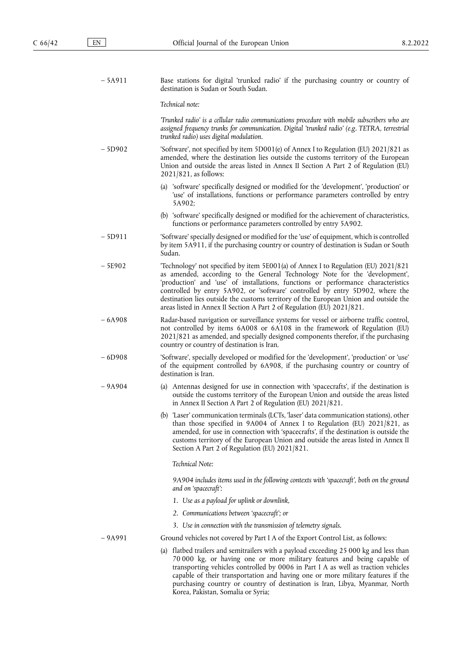| $-5A911$ | Base stations for digital 'trunked radio' if the purchasing country or country of<br>destination is Sudan or South Sudan.                                                                                                                                                                                                                                                                                                                                                                                |  |
|----------|----------------------------------------------------------------------------------------------------------------------------------------------------------------------------------------------------------------------------------------------------------------------------------------------------------------------------------------------------------------------------------------------------------------------------------------------------------------------------------------------------------|--|
|          | Technical note:                                                                                                                                                                                                                                                                                                                                                                                                                                                                                          |  |
|          | Trunked radio' is a cellular radio communications procedure with mobile subscribers who are<br>assigned frequency trunks for communication. Digital 'trunked radio' (e.g. TETRA, terrestrial<br>trunked radio) uses digital modulation.                                                                                                                                                                                                                                                                  |  |
| $-5D902$ | 'Software', not specified by item 5D001(e) of Annex I to Regulation (EU) 2021/821 as<br>amended, where the destination lies outside the customs territory of the European<br>Union and outside the areas listed in Annex II Section A Part 2 of Regulation (EU)<br>$2021/821$ , as follows:                                                                                                                                                                                                              |  |
|          | (a) 'software' specifically designed or modified for the 'development', 'production' or<br>'use' of installations, functions or performance parameters controlled by entry<br>5A902;                                                                                                                                                                                                                                                                                                                     |  |
|          | (b) 'software' specifically designed or modified for the achievement of characteristics,<br>functions or performance parameters controlled by entry 5A902.                                                                                                                                                                                                                                                                                                                                               |  |
| $-5D911$ | 'Software' specially designed or modified for the 'use' of equipment, which is controlled<br>by item 5A911, if the purchasing country or country of destination is Sudan or South<br>Sudan.                                                                                                                                                                                                                                                                                                              |  |
| $-5E902$ | Technology' not specified by item 5E001(a) of Annex I to Regulation (EU) 2021/821<br>as amended, according to the General Technology Note for the 'development',<br>'production' and 'use' of installations, functions or performance characteristics<br>controlled by entry 5A902, or 'software' controlled by entry 5D902, where the<br>destination lies outside the customs territory of the European Union and outside the<br>areas listed in Annex II Section A Part 2 of Regulation (EU) 2021/821. |  |
| $-6A908$ | Radar-based navigation or surveillance systems for vessel or airborne traffic control,<br>not controlled by items 6A008 or 6A108 in the framework of Regulation (EU)<br>2021/821 as amended, and specially designed components therefor, if the purchasing<br>country or country of destination is Iran.                                                                                                                                                                                                 |  |
| $-6D908$ | 'Software', specially developed or modified for the 'development', 'production' or 'use'<br>of the equipment controlled by 6A908, if the purchasing country or country of<br>destination is Iran.                                                                                                                                                                                                                                                                                                        |  |
| $-9A904$ | (a) Antennas designed for use in connection with 'spacecrafts', if the destination is<br>outside the customs territory of the European Union and outside the areas listed<br>in Annex II Section A Part 2 of Regulation (EU) 2021/821.                                                                                                                                                                                                                                                                   |  |
|          | (b) 'Laser' communication terminals (LCTs, 'laser' data communication stations), other<br>than those specified in 9A004 of Annex I to Regulation (EU) 2021/821, as<br>amended, for use in connection with 'spacecrafts', if the destination is outside the<br>customs territory of the European Union and outside the areas listed in Annex II<br>Section A Part 2 of Regulation (EU) 2021/821.                                                                                                          |  |
|          | Technical Note:                                                                                                                                                                                                                                                                                                                                                                                                                                                                                          |  |
|          | 9A904 includes items used in the following contexts with 'spacecraft', both on the ground<br>and on 'spacecraft':                                                                                                                                                                                                                                                                                                                                                                                        |  |
|          | 1. Use as a payload for uplink or downlink,                                                                                                                                                                                                                                                                                                                                                                                                                                                              |  |
|          | 2. Communications between 'spacecraft'; or                                                                                                                                                                                                                                                                                                                                                                                                                                                               |  |
|          | 3. Use in connection with the transmission of telemetry signals.                                                                                                                                                                                                                                                                                                                                                                                                                                         |  |
| $-9A991$ | Ground vehicles not covered by Part I A of the Export Control List, as follows:                                                                                                                                                                                                                                                                                                                                                                                                                          |  |
|          | (a) flatbed trailers and semitrailers with a payload exceeding 25 000 kg and less than<br>70 000 kg, or having one or more military features and being capable of<br>transporting vehicles controlled by 0006 in Part I A as well as traction vehicles<br>capable of their transportation and having one or more military features if the<br>purchasing country or country of destination is Iran, Libya, Myanmar, North<br>Korea, Pakistan, Somalia or Syria;                                           |  |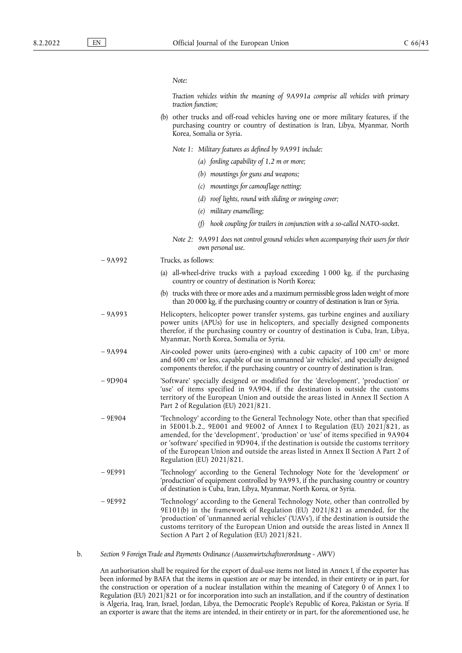#### *Note:*

*Traction vehicles within the meaning of 9A991a comprise all vehicles with primary traction function;*

- (b) other trucks and off-road vehicles having one or more military features, if the purchasing country or country of destination is Iran, Libya, Myanmar, North Korea, Somalia or Syria.
	- *Note 1: Military features as defined by 9A991 include:*
		- *(a) fording capability of 1,2 m or more;*
		- *(b) mountings for guns and weapons;*
		- *(c) mountings for camouflage netting;*
		- *(d) roof lights, round with sliding or swinging cover;*
		- *(e) military enamelling;*
		- *(f) hook coupling for trailers in conjunction with a so-called NATO-socket.*
	- *Note 2: 9A991 does not control ground vehicles when accompanying their users for their own personal use.*

– 9A992 Trucks, as follows:

- (a) all-wheel-drive trucks with a payload exceeding 1 000 kg, if the purchasing country or country of destination is North Korea;
- (b) trucks with three or more axles and a maximum permissible gross laden weight of more than 20 000 kg, if the purchasing country or country of destination is Iran or Syria.
- 9A993 Helicopters, helicopter power transfer systems, gas turbine engines and auxiliary power units (APUs) for use in helicopters, and specially designed components therefor, if the purchasing country or country of destination is Cuba, Iran, Libya, Myanmar, North Korea, Somalia or Syria.
- 9A994 Air-cooled power units (aero-engines) with a cubic capacity of 100 cm<sup>3</sup> or more and 600 cm<sup>3</sup> or less, capable of use in unmanned 'air vehicles', and specially designed components therefor, if the purchasing country or country of destination is Iran.
- 9D904 'Software' specially designed or modified for the 'development', 'production' or 'use' of items specified in 9A904, if the destination is outside the customs territory of the European Union and outside the areas listed in Annex II Section A Part 2 of Regulation (EU) 2021/821.
- 9E904 'Technology' according to the General Technology Note, other than that specified in 5E001.b.2., 9E001 and 9E002 of Annex I to Regulation (EU) 2021/821, as amended, for the 'development', 'production' or 'use' of items specified in 9A904 or 'software' specified in 9D904, if the destination is outside the customs territory of the European Union and outside the areas listed in Annex II Section A Part 2 of Regulation (EU) 2021/821.
- 9E991 'Technology' according to the General Technology Note for the 'development' or 'production' of equipment controlled by 9A993, if the purchasing country or country of destination is Cuba, Iran, Libya, Myanmar, North Korea, or Syria.
- 9E992 'Technology' according to the General Technology Note, other than controlled by 9E101(b) in the framework of Regulation (EU) 2021/821 as amended, for the 'production' of 'unmanned aerial vehicles' ('UAVs'), if the destination is outside the customs territory of the European Union and outside the areas listed in Annex II Section A Part 2 of Regulation (EU) 2021/821.

b. *Section 9 Foreign Trade and Payments Ordinance (Aussenwirtschaftsverordnung - AWV)*

An authorisation shall be required for the export of dual-use items not listed in Annex I, if the exporter has been informed by BAFA that the items in question are or may be intended, in their entirety or in part, for the construction or operation of a nuclear installation within the meaning of Category 0 of Annex I to Regulation (EU) 2021/821 or for incorporation into such an installation, and if the country of destination is Algeria, Iraq, Iran, Israel, Jordan, Libya, the Democratic People's Republic of Korea, Pakistan or Syria. If an exporter is aware that the items are intended, in their entirety or in part, for the aforementioned use, he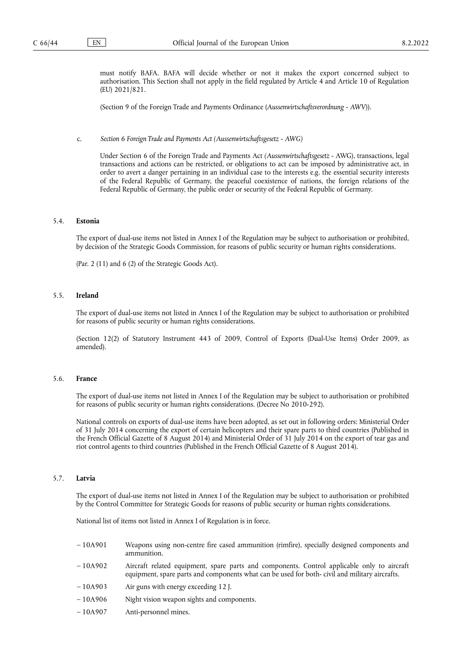must notify BAFA. BAFA will decide whether or not it makes the export concerned subject to authorisation. This Section shall not apply in the field regulated by Article 4 and Article 10 of Regulation (EU) 2021/821.

(Section 9 of the Foreign Trade and Payments Ordinance (*Aussenwirtschaftsverordnung - AWV*)).

c. *Section 6 Foreign Trade and Payments Act (Aussenwirtschaftsgesetz - AWG)*

Under Section 6 of the Foreign Trade and Payments Act *(Aussenwirtschaftsgesetz* - AWG), transactions, legal transactions and actions can be restricted, or obligations to act can be imposed by administrative act, in order to avert a danger pertaining in an individual case to the interests e.g. the essential security interests of the Federal Republic of Germany, the peaceful coexistence of nations, the foreign relations of the Federal Republic of Germany, the public order or security of the Federal Republic of Germany.

## 5.4. **Estonia**

The export of dual-use items not listed in Annex I of the Regulation may be subject to authorisation or prohibited, by decision of the Strategic Goods Commission, for reasons of public security or human rights considerations.

(Par. 2 (11) and 6 (2) of the Strategic Goods Act).

### 5.5. **Ireland**

The export of dual-use items not listed in Annex I of the Regulation may be subject to authorisation or prohibited for reasons of public security or human rights considerations.

(Section 12(2) of Statutory Instrument 443 of 2009, Control of Exports (Dual-Use Items) Order 2009, as amended).

### 5.6. **France**

The export of dual-use items not listed in Annex I of the Regulation may be subject to authorisation or prohibited for reasons of public security or human rights considerations. (Decree No 2010-292).

National controls on exports of dual-use items have been adopted, as set out in following orders: Ministerial Order of 31 July 2014 concerning the export of certain helicopters and their spare parts to third countries (Published in the French Official Gazette of 8 August 2014) and Ministerial Order of 31 July 2014 on the export of tear gas and riot control agents to third countries (Published in the French Official Gazette of 8 August 2014).

#### 5.7. **Latvia**

The export of dual-use items not listed in Annex I of the Regulation may be subject to authorisation or prohibited by the Control Committee for Strategic Goods for reasons of public security or human rights considerations.

National list of items not listed in Annex I of Regulation is in force.

- 10A901 Weapons using non-centre fire cased ammunition (rimfire), specially designed components and ammunition.
- 10A902 Aircraft related equipment, spare parts and components. Control applicable only to aircraft equipment, spare parts and components what can be used for both- civil and military aircrafts.
- 10A903 Air guns with energy exceeding 12 J.
- 10A906 Night vision weapon sights and components.
- 10A907 Anti-personnel mines.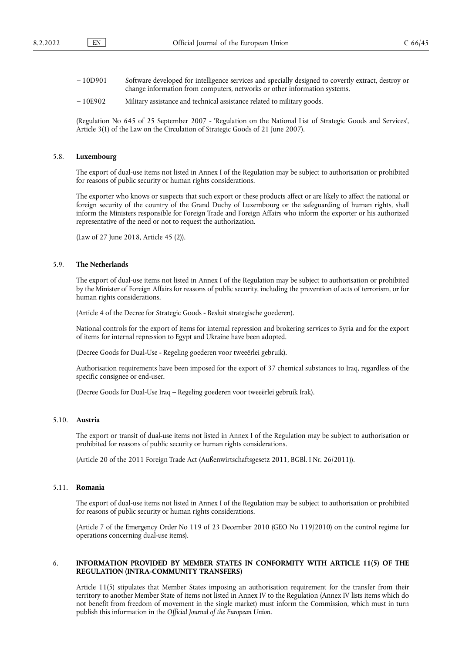- 10D901 Software developed for intelligence services and specially designed to covertly extract, destroy or change information from computers, networks or other information systems.
- 10E902 Military assistance and technical assistance related to military goods.

(Regulation No 645 of 25 September 2007 - 'Regulation on the National List of Strategic Goods and Services', Article 3(1) of the Law on the Circulation of Strategic Goods of 21 June 2007).

### 5.8. **Luxembourg**

The export of dual-use items not listed in Annex I of the Regulation may be subject to authorisation or prohibited for reasons of public security or human rights considerations.

The exporter who knows or suspects that such export or these products affect or are likely to affect the national or foreign security of the country of the Grand Duchy of Luxembourg or the safeguarding of human rights, shall inform the Ministers responsible for Foreign Trade and Foreign Affairs who inform the exporter or his authorized representative of the need or not to request the authorization.

(Law of 27 June 2018, Article 45 (2)).

#### 5.9. **The Netherlands**

The export of dual-use items not listed in Annex I of the Regulation may be subject to authorisation or prohibited by the Minister of Foreign Affairs for reasons of public security, including the prevention of acts of terrorism, or for human rights considerations.

(Article 4 of the Decree for Strategic Goods - Besluit strategische goederen).

National controls for the export of items for internal repression and brokering services to Syria and for the export of items for internal repression to Egypt and Ukraine have been adopted.

(Decree Goods for Dual-Use - Regeling goederen voor tweeërlei gebruik).

Authorisation requirements have been imposed for the export of 37 chemical substances to Iraq, regardless of the specific consignee or end-user.

(Decree Goods for Dual-Use Iraq – Regeling goederen voor tweeërlei gebruik Irak).

### 5.10. **Austria**

The export or transit of dual-use items not listed in Annex I of the Regulation may be subject to authorisation or prohibited for reasons of public security or human rights considerations.

(Article 20 of the 2011 Foreign Trade Act (Außenwirtschaftsgesetz 2011, BGBl. I Nr. 26/2011)).

### 5.11. **Romania**

The export of dual-use items not listed in Annex I of the Regulation may be subject to authorisation or prohibited for reasons of public security or human rights considerations.

(Article 7 of the Emergency Order No 119 of 23 December 2010 (GEO No 119/2010) on the control regime for operations concerning dual-use items).

### 6. **INFORMATION PROVIDED BY MEMBER STATES IN CONFORMITY WITH ARTICLE 11(5) OF THE REGULATION (INTRA-COMMUNITY TRANSFERS)**

Article 11(5) stipulates that Member States imposing an authorisation requirement for the transfer from their territory to another Member State of items not listed in Annex IV to the Regulation (Annex IV lists items which do not benefit from freedom of movement in the single market) must inform the Commission, which must in turn publish this information in the *Official Journal of the European Union.*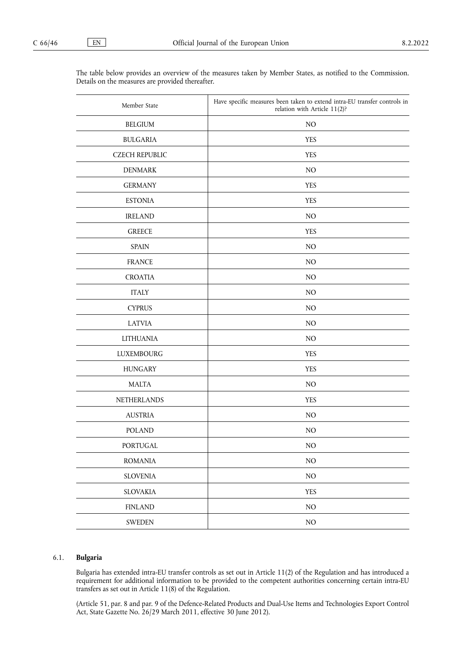| Member State          | Have specific measures been taken to extend intra-EU transfer controls in<br>relation with Article 11(2)? |
|-----------------------|-----------------------------------------------------------------------------------------------------------|
| <b>BELGIUM</b>        | $\rm NO$                                                                                                  |
| <b>BULGARIA</b>       | <b>YES</b>                                                                                                |
| <b>CZECH REPUBLIC</b> | <b>YES</b>                                                                                                |
| <b>DENMARK</b>        | NO                                                                                                        |
| <b>GERMANY</b>        | <b>YES</b>                                                                                                |
| <b>ESTONIA</b>        | <b>YES</b>                                                                                                |
| <b>IRELAND</b>        | NO                                                                                                        |
| <b>GREECE</b>         | <b>YES</b>                                                                                                |
| <b>SPAIN</b>          | NO                                                                                                        |
| <b>FRANCE</b>         | NO                                                                                                        |
| <b>CROATIA</b>        | NO                                                                                                        |
| <b>ITALY</b>          | NO                                                                                                        |
| <b>CYPRUS</b>         | NO                                                                                                        |
| <b>LATVIA</b>         | NO                                                                                                        |
| <b>LITHUANIA</b>      | NO                                                                                                        |
| <b>LUXEMBOURG</b>     | <b>YES</b>                                                                                                |
| <b>HUNGARY</b>        | <b>YES</b>                                                                                                |
| <b>MALTA</b>          | NO                                                                                                        |
| NETHERLANDS           | <b>YES</b>                                                                                                |
| <b>AUSTRIA</b>        | NO                                                                                                        |
| <b>POLAND</b>         | NO                                                                                                        |
| PORTUGAL              | $\rm NO$                                                                                                  |
| <b>ROMANIA</b>        | $\rm NO$                                                                                                  |
| <b>SLOVENIA</b>       | $\rm NO$                                                                                                  |
| <b>SLOVAKIA</b>       | <b>YES</b>                                                                                                |
| <b>FINLAND</b>        | $\rm NO$                                                                                                  |
| <b>SWEDEN</b>         | $\rm NO$                                                                                                  |

The table below provides an overview of the measures taken by Member States, as notified to the Commission. Details on the measures are provided thereafter.

### 6.1. **Bulgaria**

Bulgaria has extended intra-EU transfer controls as set out in Article 11(2) of the Regulation and has introduced a requirement for additional information to be provided to the competent authorities concerning certain intra-EU transfers as set out in Article 11(8) of the Regulation.

(Article 51, par. 8 and par. 9 of the Defence-Related Products and Dual-Use Items and Technologies Export Control Act, State Gazette No. 26/29 March 2011, effective 30 June 2012).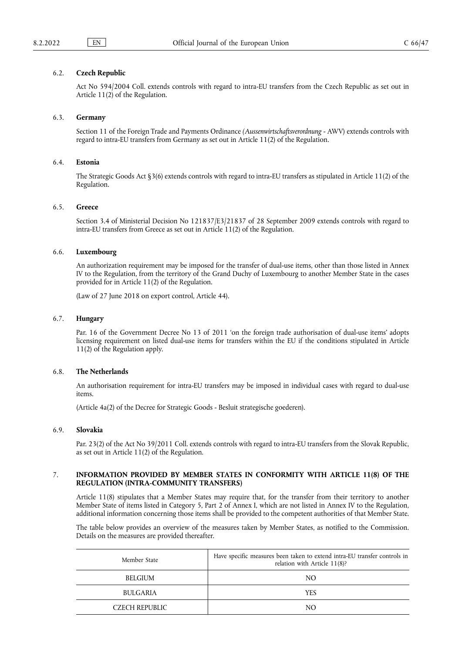### 6.2. **Czech Republic**

Act No 594/2004 Coll. extends controls with regard to intra-EU transfers from the Czech Republic as set out in Article 11(2) of the Regulation.

#### 6.3. **Germany**

Section 11 of the Foreign Trade and Payments Ordinance *(Aussenwirtschaftsverordnung* - AWV) extends controls with regard to intra-EU transfers from Germany as set out in Article 11(2) of the Regulation.

### 6.4. **Estonia**

The Strategic Goods Act §3(6) extends controls with regard to intra-EU transfers as stipulated in Article 11(2) of the Regulation.

#### 6.5. **Greece**

Section 3.4 of Ministerial Decision No 121837/E3/21837 of 28 September 2009 extends controls with regard to intra-EU transfers from Greece as set out in Article 11(2) of the Regulation.

#### 6.6. **Luxembourg**

An authorization requirement may be imposed for the transfer of dual-use items, other than those listed in Annex IV to the Regulation, from the territory of the Grand Duchy of Luxembourg to another Member State in the cases provided for in Article 11(2) of the Regulation.

(Law of 27 June 2018 on export control, Article 44).

## 6.7. **Hungary**

Par. 16 of the Government Decree No 13 of 2011 'on the foreign trade authorisation of dual-use items' adopts licensing requirement on listed dual-use items for transfers within the EU if the conditions stipulated in Article 11(2) of the Regulation apply.

### 6.8. **The Netherlands**

An authorisation requirement for intra-EU transfers may be imposed in individual cases with regard to dual-use items.

(Article 4a(2) of the Decree for Strategic Goods - Besluit strategische goederen).

### 6.9. **Slovakia**

Par. 23(2) of the Act No 39/2011 Coll. extends controls with regard to intra-EU transfers from the Slovak Republic, as set out in Article 11(2) of the Regulation.

## 7. **INFORMATION PROVIDED BY MEMBER STATES IN CONFORMITY WITH ARTICLE 11(8) OF THE REGULATION (INTRA-COMMUNITY TRANSFERS)**

Article 11(8) stipulates that a Member States may require that, for the transfer from their territory to another Member State of items listed in Category 5, Part 2 of Annex I, which are not listed in Annex IV to the Regulation, additional information concerning those items shall be provided to the competent authorities of that Member State.

The table below provides an overview of the measures taken by Member States, as notified to the Commission. Details on the measures are provided thereafter.

| Member State    | Have specific measures been taken to extend intra-EU transfer controls in<br>relation with Article 11(8)? |
|-----------------|-----------------------------------------------------------------------------------------------------------|
| <b>BELGIUM</b>  | NO                                                                                                        |
| <b>BULGARIA</b> | <b>YES</b>                                                                                                |
| CZECH REPUBLIC  | NΟ                                                                                                        |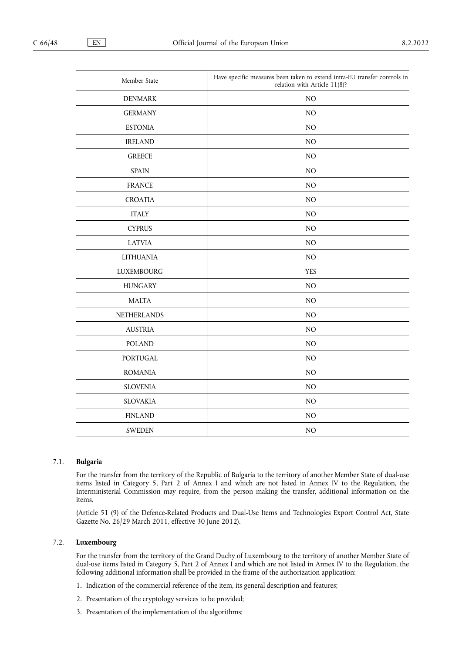| Member State      | Have specific measures been taken to extend intra-EU transfer controls in<br>relation with Article 11(8)? |
|-------------------|-----------------------------------------------------------------------------------------------------------|
| <b>DENMARK</b>    | NO                                                                                                        |
| <b>GERMANY</b>    | NO                                                                                                        |
| <b>ESTONIA</b>    | $\rm NO$                                                                                                  |
| <b>IRELAND</b>    | NO                                                                                                        |
| <b>GREECE</b>     | NO                                                                                                        |
| <b>SPAIN</b>      | NO                                                                                                        |
| <b>FRANCE</b>     | NO                                                                                                        |
| <b>CROATIA</b>    | NO                                                                                                        |
| <b>ITALY</b>      | $\rm NO$                                                                                                  |
| <b>CYPRUS</b>     | NO                                                                                                        |
| <b>LATVIA</b>     | NO                                                                                                        |
| <b>LITHUANIA</b>  | NO                                                                                                        |
| <b>LUXEMBOURG</b> | <b>YES</b>                                                                                                |
| <b>HUNGARY</b>    | NO                                                                                                        |
| <b>MALTA</b>      | NO                                                                                                        |
| NETHERLANDS       | NO                                                                                                        |
| <b>AUSTRIA</b>    | NO                                                                                                        |
| <b>POLAND</b>     | NO                                                                                                        |
| <b>PORTUGAL</b>   | $\rm NO$                                                                                                  |
| <b>ROMANIA</b>    | $\rm NO$                                                                                                  |
| <b>SLOVENIA</b>   | $\rm NO$                                                                                                  |
| SLOVAKIA          | $\rm NO$                                                                                                  |
| <b>FINLAND</b>    | N <sub>O</sub>                                                                                            |
| <b>SWEDEN</b>     | NO                                                                                                        |

## 7.1. **Bulgaria**

For the transfer from the territory of the Republic of Bulgaria to the territory of another Member State of dual-use items listed in Category 5, Part 2 of Annex I and which are not listed in Annex IV to the Regulation, the Interministerial Commission may require, from the person making the transfer, additional information on the items.

(Article 51 (9) of the Defence-Related Products and Dual-Use Items and Technologies Export Control Act, State Gazette No. 26/29 March 2011, effective 30 June 2012).

## 7.2. **Luxembourg**

For the transfer from the territory of the Grand Duchy of Luxembourg to the territory of another Member State of dual-use items listed in Category 5, Part 2 of Annex I and which are not listed in Annex IV to the Regulation, the following additional information shall be provided in the frame of the authorization application:

- 1. Indication of the commercial reference of the item, its general description and features;
- 2. Presentation of the cryptology services to be provided;
- 3. Presentation of the implementation of the algorithms;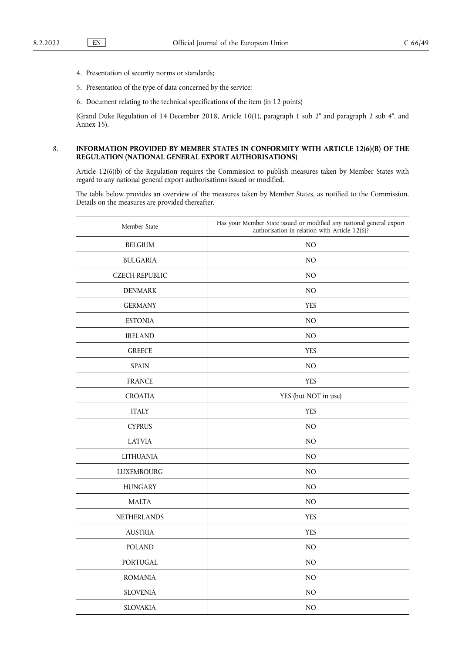- 4. Presentation of security norms or standards;
- 5. Presentation of the type of data concerned by the service;
- 6. Document relating to the technical specifications of the item (in 12 points)

(Grand Duke Regulation of 14 December 2018, Article 10(1), paragraph 1 sub 2° and paragraph 2 sub 4°, and Annex 15).

## 8. **INFORMATION PROVIDED BY MEMBER STATES IN CONFORMITY WITH ARTICLE 12(6)(B) OF THE REGULATION (NATIONAL GENERAL EXPORT AUTHORISATIONS)**

Article 12(6)(b) of the Regulation requires the Commission to publish measures taken by Member States with regard to any national general export authorisations issued or modified.

The table below provides an overview of the measures taken by Member States, as notified to the Commission. Details on the measures are provided thereafter.

| Member State          | Has your Member State issued or modified any national general export<br>authorisation in relation with Article 12(6)? |
|-----------------------|-----------------------------------------------------------------------------------------------------------------------|
| <b>BELGIUM</b>        | N <sub>O</sub>                                                                                                        |
| <b>BULGARIA</b>       | NO                                                                                                                    |
| <b>CZECH REPUBLIC</b> | NO                                                                                                                    |
| <b>DENMARK</b>        | N <sub>O</sub>                                                                                                        |
| <b>GERMANY</b>        | <b>YES</b>                                                                                                            |
| <b>ESTONIA</b>        | N <sub>O</sub>                                                                                                        |
| <b>IRELAND</b>        | N <sub>O</sub>                                                                                                        |
| <b>GREECE</b>         | <b>YES</b>                                                                                                            |
| <b>SPAIN</b>          | NO                                                                                                                    |
| <b>FRANCE</b>         | <b>YES</b>                                                                                                            |
| <b>CROATIA</b>        | YES (but NOT in use)                                                                                                  |
| <b>ITALY</b>          | <b>YES</b>                                                                                                            |
| <b>CYPRUS</b>         | N <sub>O</sub>                                                                                                        |
| <b>LATVIA</b>         | N <sub>O</sub>                                                                                                        |
| <b>LITHUANIA</b>      | NO                                                                                                                    |
| <b>LUXEMBOURG</b>     | NO                                                                                                                    |
| <b>HUNGARY</b>        | N <sub>O</sub>                                                                                                        |
| <b>MALTA</b>          | N <sub>O</sub>                                                                                                        |
| <b>NETHERLANDS</b>    | <b>YES</b>                                                                                                            |
| <b>AUSTRIA</b>        | <b>YES</b>                                                                                                            |
| <b>POLAND</b>         | N <sub>O</sub>                                                                                                        |
| PORTUGAL              | NO                                                                                                                    |
| <b>ROMANIA</b>        | NO                                                                                                                    |
| <b>SLOVENIA</b>       | NO                                                                                                                    |
| <b>SLOVAKIA</b>       | N <sub>O</sub>                                                                                                        |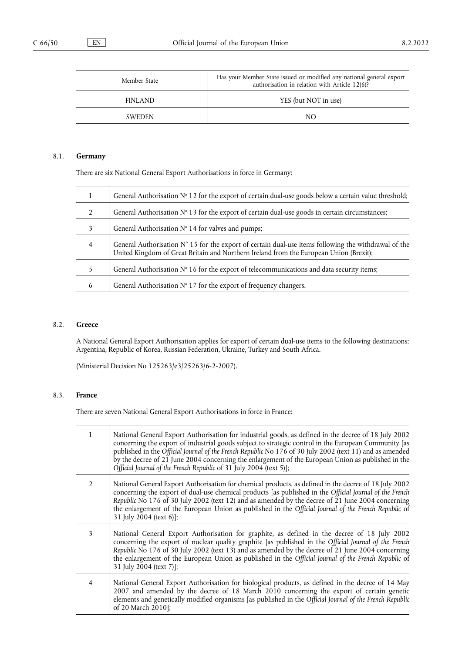| Member State   | Has your Member State issued or modified any national general export<br>authorisation in relation with Article 12(6)? |
|----------------|-----------------------------------------------------------------------------------------------------------------------|
| <b>FINLAND</b> | YES (but NOT in use)                                                                                                  |
| <b>SWEDEN</b>  | NO.                                                                                                                   |

## 8.1. **Germany**

There are six National General Export Authorisations in force in Germany:

|                | General Authorisation $N^{\circ}$ 12 for the export of certain dual-use goods below a certain value threshold;                                                                                          |
|----------------|---------------------------------------------------------------------------------------------------------------------------------------------------------------------------------------------------------|
| $\mathfrak{D}$ | General Authorisation $N^{\circ}$ 13 for the export of certain dual-use goods in certain circumstances;                                                                                                 |
| 3              | General Authorisation $N^{\circ}$ 14 for valves and pumps;                                                                                                                                              |
| $\overline{4}$ | General Authorisation $N^{\circ}$ 15 for the export of certain dual-use items following the withdrawal of the<br>United Kingdom of Great Britain and Northern Ireland from the European Union (Brexit); |
|                | General Authorisation $N^{\circ}$ 16 for the export of telecommunications and data security items;                                                                                                      |
| 6              | General Authorisation $N^{\circ}$ 17 for the export of frequency changers.                                                                                                                              |

## 8.2. **Greece**

A National General Export Authorisation applies for export of certain dual-use items to the following destinations: Argentina, Republic of Korea, Russian Federation, Ukraine, Turkey and South Africa.

(Ministerial Decision No 125263/e3/25263/6-2-2007).

# 8.3. **France**

There are seven National General Export Authorisations in force in France:

| $\mathbf{1}$   | National General Export Authorisation for industrial goods, as defined in the decree of 18 July 2002<br>concerning the export of industrial goods subject to strategic control in the European Community [as<br>published in the Official Journal of the French Republic No 176 of 30 July 2002 (text 11) and as amended<br>by the decree of 21 June 2004 concerning the enlargement of the European Union as published in the<br>Official Journal of the French Republic of 31 July 2004 (text 5)]; |
|----------------|------------------------------------------------------------------------------------------------------------------------------------------------------------------------------------------------------------------------------------------------------------------------------------------------------------------------------------------------------------------------------------------------------------------------------------------------------------------------------------------------------|
| $\overline{2}$ | National General Export Authorisation for chemical products, as defined in the decree of 18 July 2002<br>concerning the export of dual-use chemical products [as published in the Official Journal of the French<br>Republic No 176 of 30 July 2002 (text 12) and as amended by the decree of 21 June 2004 concerning<br>the enlargement of the European Union as published in the Official Journal of the French Republic of<br>31 July 2004 (text 6)];                                             |
| 3              | National General Export Authorisation for graphite, as defined in the decree of 18 July 2002<br>concerning the export of nuclear quality graphite [as published in the Official Journal of the French<br>Republic No 176 of 30 July 2002 (text 13) and as amended by the decree of 21 June 2004 concerning<br>the enlargement of the European Union as published in the Official Journal of the French Republic of<br>31 July 2004 (text 7)];                                                        |
| $\overline{4}$ | National General Export Authorisation for biological products, as defined in the decree of 14 May<br>2007 and amended by the decree of 18 March 2010 concerning the export of certain genetic<br>elements and genetically modified organisms [as published in the Official Journal of the French Republic<br>of 20 March 2010];                                                                                                                                                                      |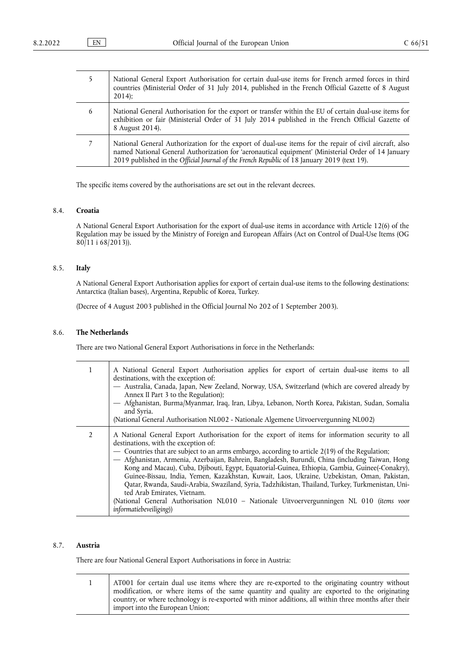| 5. | National General Export Authorisation for certain dual-use items for French armed forces in third<br>countries (Ministerial Order of 31 July 2014, published in the French Official Gazette of 8 August<br>$2014$ ;                                                                                         |
|----|-------------------------------------------------------------------------------------------------------------------------------------------------------------------------------------------------------------------------------------------------------------------------------------------------------------|
| 6  | National General Authorisation for the export or transfer within the EU of certain dual-use items for<br>exhibition or fair (Ministerial Order of 31 July 2014 published in the French Official Gazette of<br>8 August 2014).                                                                               |
|    | National General Authorization for the export of dual-use items for the repair of civil aircraft, also<br>named National General Authorization for 'aeronautical equipment' (Ministerial Order of 14 January<br>2019 published in the Official Journal of the French Republic of 18 January 2019 (text 19). |

The specific items covered by the authorisations are set out in the relevant decrees.

## 8.4. **Croatia**

A National General Export Authorisation for the export of dual-use items in accordance with Article 12(6) of the Regulation may be issued by the Ministry of Foreign and European Affairs (Act on Control of Dual-Use Items (OG  $80/11$  i 68/2013)).

## 8.5. **Italy**

A National General Export Authorisation applies for export of certain dual-use items to the following destinations: Antarctica (Italian bases), Argentina, Republic of Korea, Turkey.

(Decree of 4 August 2003 published in the Official Journal No 202 of 1 September 2003).

## 8.6. **The Netherlands**

There are two National General Export Authorisations in force in the Netherlands:

| $\mathbf{1}$   | A National General Export Authorisation applies for export of certain dual-use items to all<br>destinations, with the exception of:<br>— Australia, Canada, Japan, New Zeeland, Norway, USA, Switzerland (which are covered already by<br>Annex II Part 3 to the Regulation);<br>- Afghanistan, Burma/Myanmar, Iraq, Iran, Libya, Lebanon, North Korea, Pakistan, Sudan, Somalia<br>and Syria.<br>(National General Authorisation NL002 - Nationale Algemene Uitvoervergunning NL002)                                                                                                                                                                                                                                                                                                                    |
|----------------|----------------------------------------------------------------------------------------------------------------------------------------------------------------------------------------------------------------------------------------------------------------------------------------------------------------------------------------------------------------------------------------------------------------------------------------------------------------------------------------------------------------------------------------------------------------------------------------------------------------------------------------------------------------------------------------------------------------------------------------------------------------------------------------------------------|
| $\overline{2}$ | A National General Export Authorisation for the export of items for information security to all<br>destinations, with the exception of:<br>— Countries that are subject to an arms embargo, according to article 2(19) of the Regulation;<br>- Afghanistan, Armenia, Azerbaijan, Bahrein, Bangladesh, Burundi, China (including Taiwan, Hong<br>Kong and Macau), Cuba, Djibouti, Egypt, Equatorial-Guinea, Ethiopia, Gambia, Guinee(-Conakry),<br>Guinee-Bissau, India, Yemen, Kazakhstan, Kuwait, Laos, Ukraine, Uzbekistan, Oman, Pakistan,<br>Qatar, Rwanda, Saudi-Arabia, Swaziland, Syria, Tadzhikistan, Thailand, Turkey, Turkmenistan, Uni-<br>ted Arab Emirates, Vietnam.<br>(National General Authorisation NL010 – Nationale Uitvoervergunningen NL 010 (items voor<br>informatiebeveiliging)) |

## 8.7. **Austria**

┑

There are four National General Export Authorisations in force in Austria:

| AT001 for certain dual use items where they are re-exported to the originating country without        |
|-------------------------------------------------------------------------------------------------------|
| modification, or where items of the same quantity and quality are exported to the originating         |
| country, or where technology is re-exported with minor additions, all within three months after their |
| import into the European Union;                                                                       |
|                                                                                                       |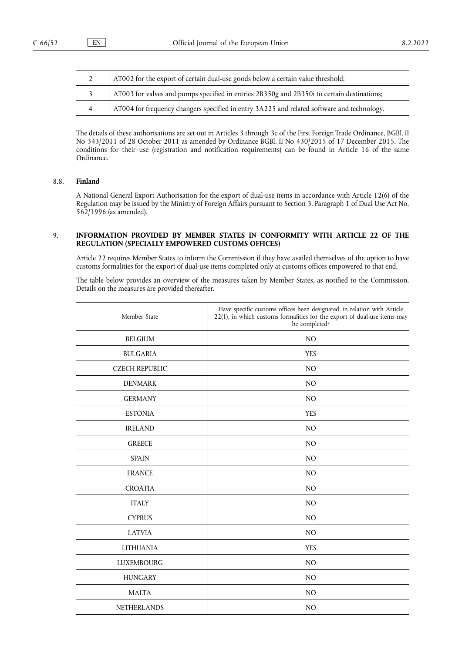|   | AT002 for the export of certain dual-use goods below a certain value threshold;            |
|---|--------------------------------------------------------------------------------------------|
|   | AT003 for valves and pumps specified in entries 2B350g and 2B350i to certain destinations; |
| 4 | AT004 for frequency changers specified in entry 3A225 and related software and technology. |

The details of these authorisations are set out in Articles 3 through 3c of the First Foreign Trade Ordinance, BGBl. II No 343/2011 of 28 October 2011 as amended by Ordinance BGBl. II No 430/2015 of 17 December 2015. The conditions for their use (registration and notification requirements) can be found in Article 16 of the same Ordinance.

## 8.8. **Finland**

A National General Export Authorisation for the export of dual-use items in accordance with Article 12(6) of the Regulation may be issued by the Ministry of Foreign Affairs pursuant to Section 3, Paragraph 1 of Dual Use Act No. 562/1996 (as amended).

## 9. **INFORMATION PROVIDED BY MEMBER STATES IN CONFORMITY WITH ARTICLE 22 OF THE REGULATION (SPECIALLY EMPOWERED CUSTOMS OFFICES)**

Article 22 requires Member States to inform the Commission if they have availed themselves of the option to have customs formalities for the export of dual-use items completed only at customs offices empowered to that end.

The table below provides an overview of the measures taken by Member States, as notified to the Commission. Details on the measures are provided thereafter.

| Member State          | Have specific customs offices been designated, in relation with Article<br>22(1), in which customs formalities for the export of dual-use items may<br>be completed? |
|-----------------------|----------------------------------------------------------------------------------------------------------------------------------------------------------------------|
| <b>BELGIUM</b>        | NO                                                                                                                                                                   |
| <b>BULGARIA</b>       | <b>YES</b>                                                                                                                                                           |
| <b>CZECH REPUBLIC</b> | N <sub>O</sub>                                                                                                                                                       |
| <b>DENMARK</b>        | N <sub>O</sub>                                                                                                                                                       |
| <b>GERMANY</b>        | N <sub>O</sub>                                                                                                                                                       |
| <b>ESTONIA</b>        | <b>YES</b>                                                                                                                                                           |
| <b>IRELAND</b>        | N <sub>O</sub>                                                                                                                                                       |
| <b>GREECE</b>         | NO                                                                                                                                                                   |
| <b>SPAIN</b>          | N <sub>O</sub>                                                                                                                                                       |
| <b>FRANCE</b>         | N <sub>O</sub>                                                                                                                                                       |
| <b>CROATIA</b>        | N <sub>O</sub>                                                                                                                                                       |
| <b>ITALY</b>          | N <sub>O</sub>                                                                                                                                                       |
| <b>CYPRUS</b>         | N <sub>O</sub>                                                                                                                                                       |
| <b>LATVIA</b>         | N <sub>O</sub>                                                                                                                                                       |
| <b>LITHUANIA</b>      | <b>YES</b>                                                                                                                                                           |
| <b>LUXEMBOURG</b>     | N <sub>O</sub>                                                                                                                                                       |
| <b>HUNGARY</b>        | NO                                                                                                                                                                   |
| <b>MALTA</b>          | N <sub>O</sub>                                                                                                                                                       |
| NETHERLANDS           | N <sub>O</sub>                                                                                                                                                       |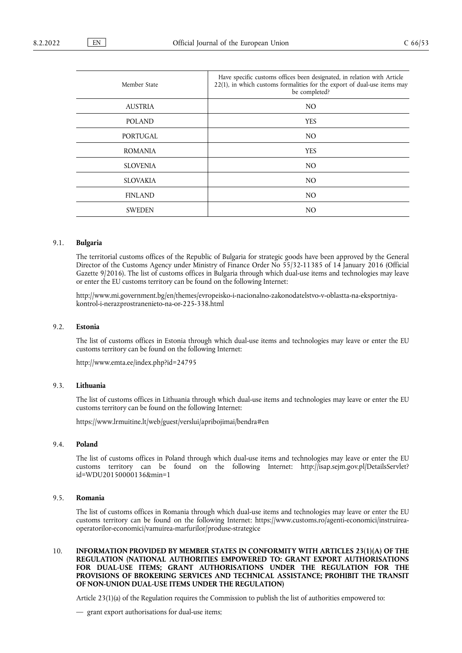| Member State    | Have specific customs offices been designated, in relation with Article<br>22(1), in which customs formalities for the export of dual-use items may<br>be completed? |
|-----------------|----------------------------------------------------------------------------------------------------------------------------------------------------------------------|
| <b>AUSTRIA</b>  | N <sub>O</sub>                                                                                                                                                       |
| <b>POLAND</b>   | <b>YES</b>                                                                                                                                                           |
| PORTUGAL        | NO.                                                                                                                                                                  |
| <b>ROMANIA</b>  | <b>YES</b>                                                                                                                                                           |
| <b>SLOVENIA</b> | NO.                                                                                                                                                                  |
| <b>SLOVAKIA</b> | NO.                                                                                                                                                                  |
| <b>FINLAND</b>  | N <sub>O</sub>                                                                                                                                                       |
| <b>SWEDEN</b>   | N <sub>O</sub>                                                                                                                                                       |

# 9.1. **Bulgaria**

The territorial customs offices of the Republic of Bulgaria for strategic goods have been approved by the General Director of the Customs Agency under Ministry of Finance Order No 55/32-11385 of 14 January 2016 (Official Gazette 9/2016). The list of customs offices in Bulgaria through which dual-use items and technologies may leave or enter the EU customs territory can be found on the following Internet:

[http://www.mi.government.bg/en/themes/evropeisko-i-nacionalno-zakonodatelstvo-v-oblastta-na-eksportniya](http://www.mi.government.bg/en/themes/evropeisko-i-nacionalno-zakonodatelstvo-v-oblastta-na-eksportniya-kontrol-i-nerazprostranenieto-na-or-225-338.html)[kontrol-i-nerazprostranenieto-na-or-225-338.html](http://www.mi.government.bg/en/themes/evropeisko-i-nacionalno-zakonodatelstvo-v-oblastta-na-eksportniya-kontrol-i-nerazprostranenieto-na-or-225-338.html)

### 9.2. **Estonia**

The list of customs offices in Estonia through which dual-use items and technologies may leave or enter the EU customs territory can be found on the following Internet:

<http://www.emta.ee/index.php?id=24795>

## 9.3. **Lithuania**

The list of customs offices in Lithuania through which dual-use items and technologies may leave or enter the EU customs territory can be found on the following Internet:

<https://www.lrmuitine.lt/web/guest/verslui/apribojimai/bendra#en>

### 9.4. **Poland**

The list of customs offices in Poland through which dual-use items and technologies may leave or enter the EU customs territory can be found on the following Internet: [http://isap.sejm.gov.pl/DetailsServlet?](http://isap.sejm.gov.pl/DetailsServlet?id=WDU20150000136&min=1) [id=WDU20150000136&min=1](http://isap.sejm.gov.pl/DetailsServlet?id=WDU20150000136&min=1)

## 9.5. **Romania**

The list of customs offices in Romania through which dual-use items and technologies may leave or enter the EU customs territory can be found on the following Internet: [https://www.customs.ro/agenti-economici/instruirea](https://www.customs.ro/agenti-economici/instruirea-operatorilor-economici/vamuirea-marfurilor/produse-strategice)[operatorilor-economici/vamuirea-marfurilor/produse-strategice](https://www.customs.ro/agenti-economici/instruirea-operatorilor-economici/vamuirea-marfurilor/produse-strategice)

## 10. **INFORMATION PROVIDED BY MEMBER STATES IN CONFORMITY WITH ARTICLES 23(1)(A) OF THE REGULATION (NATIONAL AUTHORITIES EMPOWERED TO: GRANT EXPORT AUTHORISATIONS FOR DUAL-USE ITEMS; GRANT AUTHORISATIONS UNDER THE REGULATION FOR THE PROVISIONS OF BROKERING SERVICES AND TECHNICAL ASSISTANCE; PROHIBIT THE TRANSIT OF NON-UNION DUAL-USE ITEMS UNDER THE REGULATION)**

Article 23(1)(a) of the Regulation requires the Commission to publish the list of authorities empowered to:

<sup>—</sup> grant export authorisations for dual-use items;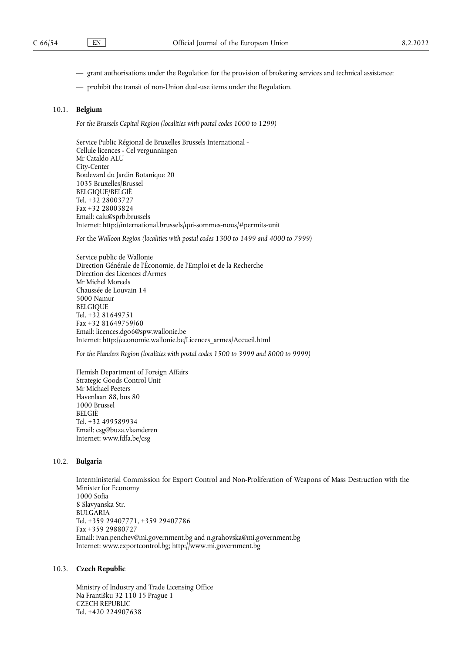- grant authorisations under the Regulation for the provision of brokering services and technical assistance;
- prohibit the transit of non-Union dual-use items under the Regulation.

#### 10.1. **Belgium**

*For the Brussels Capital Region (localities with postal codes 1000 to 1299)*

Service Public Régional de Bruxelles Brussels International - Cellule licences - Cel vergunningen Mr Cataldo ALU City-Center Boulevard du Jardin Botanique 20 1035 Bruxelles/Brussel BELGIQUE/BELGIË Tel. +32 28003727 Fax +32 28003824 Email: [calu@sprb.brussels](mailto:calu@sprb.brussels) Internet: <http://international.brussels/qui-sommes-nous/#permits-unit>

*For* the *Walloon Region (localities with postal codes 1300 to 1499 and 4000 to 7999)*

Service public de Wallonie Direction Générale de l'Économie, de l'Emploi et de la Recherche Direction des Licences d'Armes Mr Michel Moreels Chaussée de Louvain 14 5000 Namur BELGIQUE Tel. +32 81649751 Fax +32 81649759/60 Email: [licences.dgo6@spw.wallonie.be](mailto:licences.dgo6@spw.wallonie.be) Internet: [http://economie.wallonie.be/Licences\\_armes/Accueil.html](http://economie.wallonie.be/Licences_armes/Accueil.html)

*For the Flanders Region (localities with postal codes 1500 to 3999 and 8000 to 9999)*

Flemish Department of Foreign Affairs Strategic Goods Control Unit Mr Michael Peeters Havenlaan 88, bus 80 1000 Brussel BELGIË Tel. +32 499589934 Email: [csg@buza.vlaanderen](mailto:csg@buza.vlaanderen) Internet: <www.fdfa.be/csg>

## 10.2. **Bulgaria**

Interministerial Commission for Export Control and Non-Proliferation of Weapons of Mass Destruction with the Minister for Economy 1000 Sofia 8 Slavyanska Str. BULGARIA Tel. +359 29407771, +359 29407786 Fax +359 29880727 Email: [ivan.penchev@mi.government.bg](mailto:ivan.penchev@mi.government.bg) and [n.grahovska@mi.government.bg](mailto:n.grahovska@mi.government.bg) Internet: <www.exportcontrol.bg;> <http://www.mi.government.bg>

#### 10.3. **Czech Republic**

Ministry of Industry and Trade Licensing Office Na Františku 32 110 15 Prague 1 CZECH REPUBLIC Tel. +420 224907638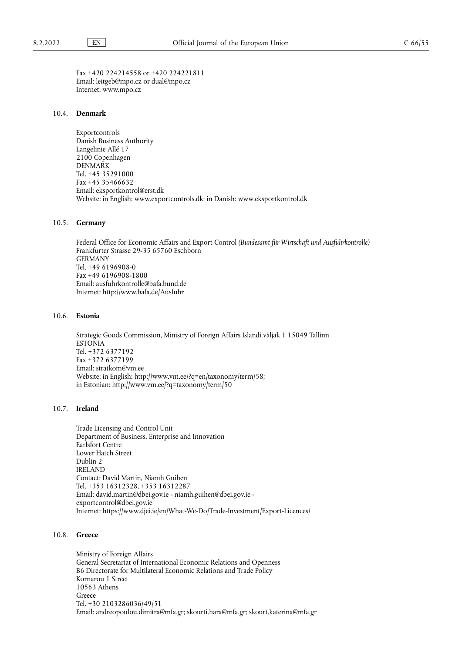Fax +420 224214558 or +420 224221811 Email: [leitgeb@mpo.cz](mailto:leitgeb@mpo.cz) or [dual@mpo.cz](mailto:dual@mpo.cz) Internet: <www.mpo.cz>

#### 10.4. **Denmark**

Exportcontrols Danish Business Authority Langelinie Allé 17 2100 Copenhagen DENMARK Tel. +45 35291000 Fax +45 35466632 Email: [eksportkontrol@erst.dk](mailto:eksportkontrol@erst.dk) Website: in English: <www.exportcontrols.dk;> in Danish: <www.eksportkontrol.dk>

#### 10.5. **Germany**

Federal Office for Economic Affairs and Export Control *(Bundesamt für Wirtschaft und Ausfuhrkontrolle)* Frankfurter Strasse 29-35 65760 Eschborn GERMANY Tel. +49 6196908-0 Fax +49 6196908-1800 Email: [ausfuhrkontrolle@bafa.bund.de](mailto:ausfuhrkontrolle@bafa.bund.de) Internet: <http://www.bafa.de/Ausfuhr>

### 10.6. **Estonia**

Strategic Goods Commission, Ministry of Foreign Affairs Islandi väljak 1 15049 Tallinn ESTONIA Tel. +372 6377192 Fax +372 6377199 Email: [stratkom@vm.ee](mailto:stratkom@vm.ee) Website: in English: <http://www.vm.ee/?q=en/taxonomy/term/58;> in Estonian: <http://www.vm.ee/?q=taxonomy/term/50>

## 10.7. **Ireland**

Trade Licensing and Control Unit Department of Business, Enterprise and Innovation Earlsfort Centre Lower Hatch Street Dublin 2 IRELAND Contact: David Martin, Niamh Guihen Tel. +353 16312328, +353 16312287 Email: [david.martin@dbei.gov.ie](mailto:david.martin@dbei.gov.ie) - [niamh.guihen@dbei.gov.ie](mailto:niamh.guihen@dbei.gov.ie) [exportcontrol@dbei.gov.ie](mailto:exportcontrol@dbei.gov.ie) Internet: <https://www.djei.ie/en/What-We-Do/Trade-Investment/Export-Licences/>

#### 10.8. **Greece**

Ministry of Foreign Affairs General Secretariat of International Economic Relations and Openness B6 Directorate for Multilateral Economic Relations and Trade Policy Kornarou 1 Street 10563 Athens Greece Tel. +30 2103286036/49/51 Email: [andreopoulou.dimitra@mfa.gr;](mailto:andreopoulou.dimitra@mfa.gr) [skourti.hara@mfa.gr;](mailto:skourti.hara@mfa.gr) [skourt.katerina@mfa.gr](mailto:skourt.katerina@mfa.gr)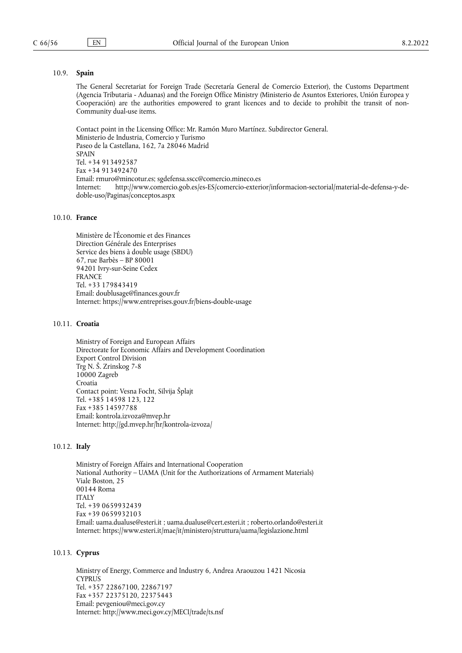## 10.9. **Spain**

The General Secretariat for Foreign Trade (Secretaría General de Comercio Exterior), the Customs Department (Agencia Tributaria - Aduanas) and the Foreign Office Ministry (Ministerio de Asuntos Exteriores, Unión Europea y Cooperación) are the authorities empowered to grant licences and to decide to prohibit the transit of non-Community dual-use items.

Contact point in the Licensing Office: Mr. Ramón Muro Martínez. Subdirector General. Ministerio de Industria, Comercio y Turismo Paseo de la Castellana, 162, 7a 28046 Madrid SPAIN Tel. +34 913492587 Fax +34 913492470 Email: [rmuro@mincotur.es](mailto:rmuro@mincotur.es); [sgdefensa.sscc@comercio.mineco.es](mailto:sgdefensa.sscc@comercio.mineco.es) Internet: [http://www.comercio.gob.es/es-ES/comercio-exterior/informacion-sectorial/material-de-defensa-y-de](http://www.comercio.gob.es/es-ES/comercio-exterior/informacion-sectorial/material-de-defensa-y-de-doble-uso/Paginas/conceptos.aspx)[doble-uso/Paginas/conceptos.aspx](http://www.comercio.gob.es/es-ES/comercio-exterior/informacion-sectorial/material-de-defensa-y-de-doble-uso/Paginas/conceptos.aspx)

## 10.10. **France**

Ministère de l'Économie et des Finances Direction Générale des Enterprises Service des biens à double usage (SBDU) 67, rue Barbès – BP 80001 94201 Ivry-sur-Seine Cedex FRANCE Tel. +33 179843419 Email: [doublusage@finances.gouv.fr](mailto:doublusage@finances.gouv.fr) Internet: <https://www.entreprises.gouv.fr/biens-double-usage>

#### 10.11. **Croatia**

Ministry of Foreign and European Affairs Directorate for Economic Affairs and Development Coordination Export Control Division Trg N. Š. Zrinskog 7-8 10000 Zagreb Croatia Contact point: Vesna Focht, Silvija Šplajt Tel. +385 14598 123, 122 Fax +385 14597788 Email: [kontrola.izvoza@mvep.hr](mailto:kontrola.izvoza@mvep.hr) Internet: <http://gd.mvep.hr/hr/kontrola-izvoza/>

#### 10.12. **Italy**

Ministry of Foreign Affairs and International Cooperation National Authority – UAMA (Unit for the Authorizations of Armament Materials) Viale Boston, 25 00144 Roma **ITALY** Tel. +39 0659932439 Fax +39 0659932103 Email: [uama.dualuse@esteri.it](mailto:uama.dualuse@esteri.it) ; [uama.dualuse@cert.esteri.it](mailto:uama.dualuse@cert.esteri.it) ; [roberto.orlando@esteri.it](mailto:roberto.orlando@esteri.it) Internet: <https://www.esteri.it/mae/it/ministero/struttura/uama/legislazione.html>

#### 10.13. **Cyprus**

Ministry of Energy, Commerce and Industry 6, Andrea Araouzou 1421 Nicosia CYPRUS Tel. +357 22867100, 22867197 Fax +357 22375120, 22375443 Email: [pevgeniou@meci.gov.cy](mailto:pevgeniou@meci.gov.cy) Internet: <http://www.meci.gov.cy/MECI/trade/ts.nsf>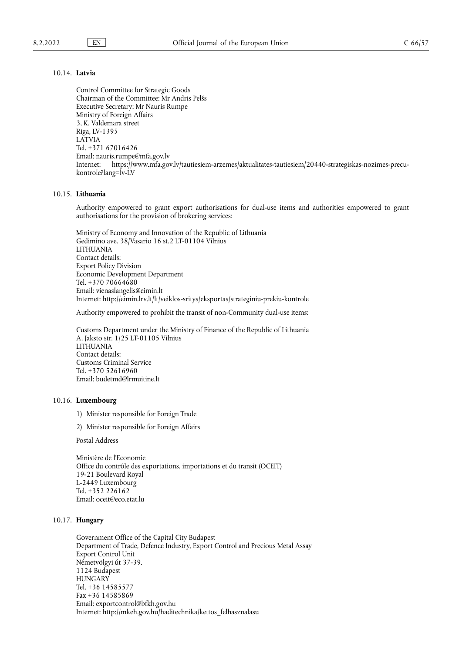# 10.14. **Latvia**

Control Committee for Strategic Goods Chairman of the Committee: Mr Andris Pelšs Executive Secretary: Mr Nauris Rumpe Ministry of Foreign Affairs 3, K. Valdemara street Riga, LV-1395 LATVIA Tel. +371 67016426 Email: [nauris.rumpe@mfa.gov.lv](mailto:nauris.rumpe@mfa.gov.lv) Internet: [https://www.mfa.gov.lv/tautiesiem-arzemes/aktualitates-tautiesiem/20440-strategiskas-nozimes-precu](https://www.mfa.gov.lv/tautiesiem-arzemes/aktualitates-tautiesiem/20440-strategiskas-nozimes-precu-kontrole?lang=lv-LV)[kontrole?lang=lv-LV](https://www.mfa.gov.lv/tautiesiem-arzemes/aktualitates-tautiesiem/20440-strategiskas-nozimes-precu-kontrole?lang=lv-LV)

## 10.15. **Lithuania**

Authority empowered to grant export authorisations for dual-use items and authorities empowered to grant authorisations for the provision of brokering services:

Ministry of Economy and Innovation of the Republic of Lithuania Gedimino ave. 38/Vasario 16 st.2 LT-01104 Vilnius LITHUANIA Contact details: Export Policy Division Economic Development Department Tel. +370 70664680 Email: [vienaslangelis@eimin.lt](mailto:vienaslangelis@eimin.lt) Internet: <http://eimin.lrv.lt/lt/veiklos-sritys/eksportas/strateginiu-prekiu-kontrole>

Authority empowered to prohibit the transit of non-Community dual-use items:

Customs Department under the Ministry of Finance of the Republic of Lithuania A. Jaksto str. 1/25 LT-01105 Vilnius LITHUANIA Contact details: Customs Criminal Service Tel. +370 52616960 Email: [budetmd@lrmuitine.lt](mailto:budetmd@lrmuitine.lt)

#### 10.16. **Luxembourg**

- 1) Minister responsible for Foreign Trade
- 2) Minister responsible for Foreign Affairs

Postal Address

Ministère de l'Economie Office du contrôle des exportations, importations et du transit (OCEIT) 19-21 Boulevard Royal L-2449 Luxembourg Tel. +352 226162 Email: [oceit@eco.etat.lu](mailto:oceit@eco.etat.lu)

### 10.17. **Hungary**

Government Office of the Capital City Budapest Department of Trade, Defence Industry, Export Control and Precious Metal Assay Export Control Unit Németvölgyi út 37-39. 1124 Budapest **HUNGARY** Tel. +36 14585577 Fax +36 14585869 Email: [exportcontrol@bfkh.gov.hu](mailto:exportcontrol@bfkh.gov.hu) Internet: [http://mkeh.gov.hu/haditechnika/kettos\\_felhasznalasu](http://mkeh.gov.hu/haditechnika/kettos_felhasznalasu)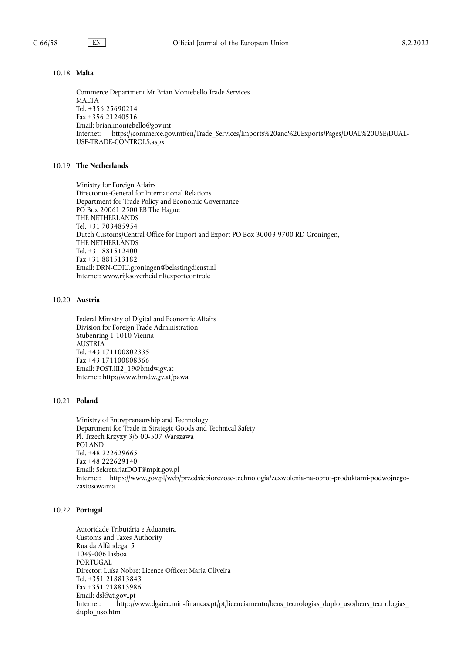## 10.18. **Malta**

Commerce Department Mr Brian Montebello Trade Services MALTA Tel. +356 25690214 Fax +356 21240516 Email: [brian.montebello@gov.mt](mailto:brian.montebello@gov.mt) Internet: [https://commerce.gov.mt/en/Trade\\_Services/Imports%20and%20Exports/Pages/DUAL%20USE/DUAL-](https://commerce.gov.mt/en/Trade_Services/Imports%20and%20Exports/Pages/DUAL%20USE/DUAL-USE-TRADE-CONTROLS.aspx)[USE-TRADE-CONTROLS.aspx](https://commerce.gov.mt/en/Trade_Services/Imports%20and%20Exports/Pages/DUAL%20USE/DUAL-USE-TRADE-CONTROLS.aspx)

## 10.19. **The Netherlands**

Ministry for Foreign Affairs Directorate-General for International Relations Department for Trade Policy and Economic Governance PO Box 20061 2500 EB The Hague THE NETHERLANDS Tel. +31 703485954 Dutch Customs/Central Office for Import and Export PO Box 30003 9700 RD Groningen, THE NETHERLANDS Tel. +31 881512400 Fax +31 881513182 Email: [DRN-CDIU.groningen@belastingdienst.nl](mailto:DRN-CDIU.groningen@belastingdienst.nl) Internet: <www.rijksoverheid.nl/exportcontrole>

#### 10.20. **Austria**

Federal Ministry of Digital and Economic Affairs Division for Foreign Trade Administration Stubenring 1 1010 Vienna AUSTRIA Tel. +43 171100802335 Fax +43 171100808366 Email: [POST.III2\\_19@bmdw.gv.at](mailto:POST.III2_19@bmdw.gv.at) Internet: <http://www.bmdw.gv.at/pawa>

## 10.21. **Poland**

Ministry of Entrepreneurship and Technology Department for Trade in Strategic Goods and Technical Safety Pl. Trzech Krzyzy 3/5 00-507 Warszawa POLAND Tel. +48 222629665 Fax +48 222629140 Email: [SekretariatDOT@mpit.gov.pl](mailto:SekretariatDOT@mpit.gov.pl) Internet: [https://www.gov.pl/web/przedsiebiorczosc-technologia/zezwolenia-na-obrot-produktami-podwojnego](https://www.gov.pl/web/przedsiebiorczosc-technologia/zezwolenia-na-obrot-produktami-podwojnego-zastosowania)[zastosowania](https://www.gov.pl/web/przedsiebiorczosc-technologia/zezwolenia-na-obrot-produktami-podwojnego-zastosowania)

### 10.22. **Portugal**

Autoridade Tributária e Aduaneira Customs and Taxes Authority Rua da Alfândega, 5 1049-006 Lisboa PORTUGAL Director: Luísa Nobre; Licence Officer: Maria Oliveira Tel. +351 218813843 Fax +351 218813986 Email: [dsl@at.gov..pt](mailto:dsl@at.gov..pt) Internet: [http://www.dgaiec.min-financas.pt/pt/licenciamento/bens\\_tecnologias\\_duplo\\_uso/bens\\_tecnologias\\_](http://www.dgaiec.min-financas.pt/pt/licenciamento/bens_tecnologias_duplo_uso/bens_tecnologias_duplo_uso.htm) [duplo\\_uso.htm](http://www.dgaiec.min-financas.pt/pt/licenciamento/bens_tecnologias_duplo_uso/bens_tecnologias_duplo_uso.htm)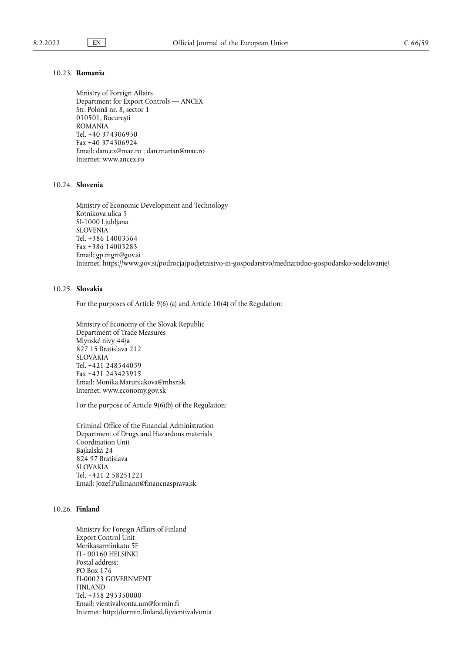## 10.23. **Romania**

Ministry of Foreign Affairs Department for Export Controls — ANCEX Str. Polonă nr. 8, sector 1 010501, Bucureşti ROMANIA Tel. +40 374306950 Fax +40 374306924 Email: [dancex@mae.ro](mailto:dancex@mae.ro) ; [dan.marian@mae.ro](mailto:dan.marian@mae.ro) Internet: <www.ancex.ro>

## 10.24. **Slovenia**

Ministry of Economic Development and Technology Kotnikova ulica 5 SI-1000 Ljubljana SLOVENIA Tel. +386 14003564 Fax +386 14003283 Email: [gp.mgrt@gov.si](mailto:gp.mgrt@gov.si) Internet: <https://www.gov.si/podrocja/podjetnistvo-in-gospodarstvo/mednarodno-gospodarsko-sodelovanje/>

## 10.25. **Slovakia**

For the purposes of Article 9(6) (a) and Article 10(4) of the Regulation:

Ministry of Economy of the Slovak Republic Department of Trade Measures Mlynské nivy 44/a 827 15 Bratislava 212 SLOVAKIA Tel. +421 248544059 Fax +421 243423915 Email: [Monika.Maruniakova@mhsr.sk](mailto:Monika.Maruniakova@mhsr.sk) Internet: <www.economy.gov.sk>

For the purpose of Article 9(6)(b) of the Regulation:

Criminal Office of the Financial Administration Department of Drugs and Hazardous materials Coordination Unit Bajkalská 24 824 97 Bratislava SLOVAKIA Tel. +421 2 58251221 Email: [Jozef.Pullmann@financnasprava.sk](mailto:Jozef.Pullmann@financnasprava.sk)

# 10.26. **Finland**

Ministry for Foreign Affairs of Finland Export Control Unit Merikasarminkatu 5F FI - 00160 HELSINKI Postal address: PO Box 176 FI-00023 GOVERNMENT FINLAND Tel. +358 295350000 Email: [vientivalvonta.um@formin.fi](mailto:vientivalvonta.um@formin.fi) Internet: <http://formin.finland.fi/vientivalvonta>